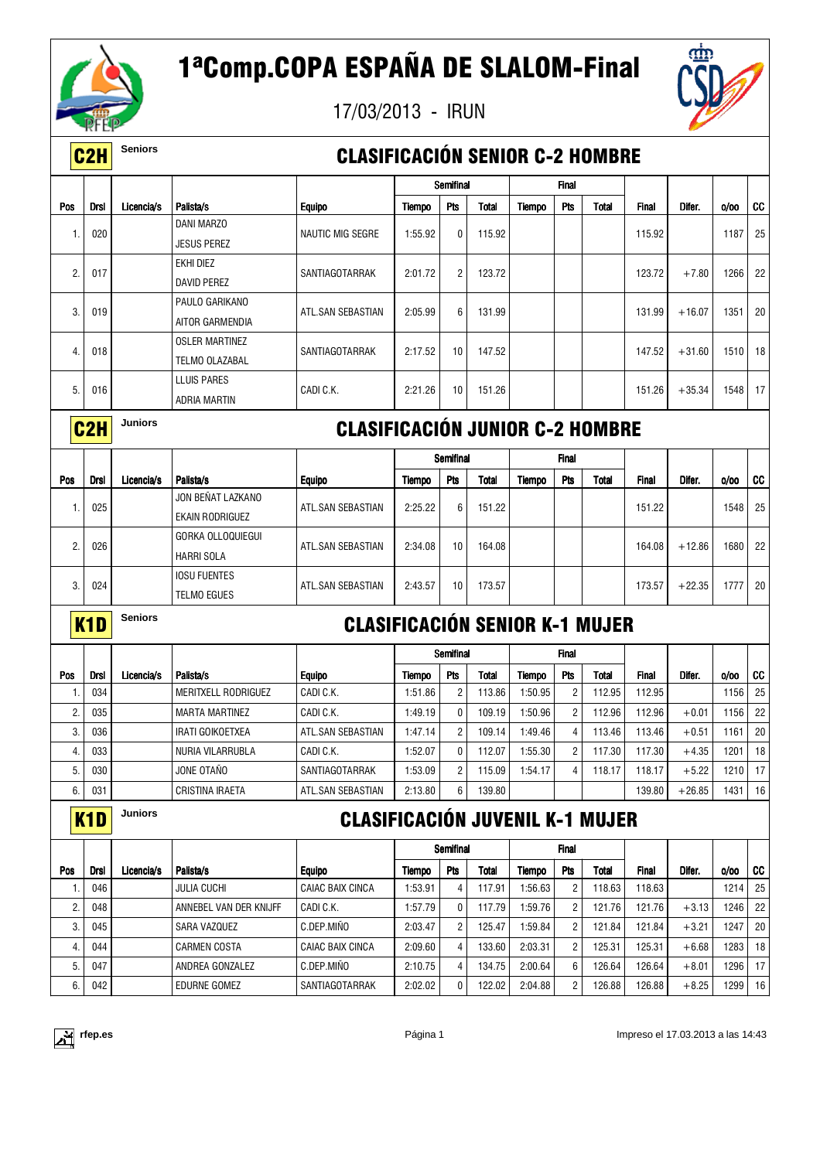

17/03/2013 - IRUN



|     | C <sub>2</sub> H | <b>Seniors</b> |                                             | <b>CLASIFICACIÓN SENIOR C-2 HOMBRE</b> |               |                |              |               |                         |              |              |          |         |    |
|-----|------------------|----------------|---------------------------------------------|----------------------------------------|---------------|----------------|--------------|---------------|-------------------------|--------------|--------------|----------|---------|----|
|     |                  |                |                                             |                                        |               | Semifinal      |              |               | <b>Final</b>            |              |              |          |         |    |
| Pos | Drsl             | Licencia/s     | Palista/s                                   | <b>Equipo</b>                          | <b>Tiempo</b> | Pts            | <b>Total</b> | Tiempo        | Pts                     | <b>Total</b> | <b>Final</b> | Difer.   | 0/00    | cc |
| -1. | 020              |                | <b>DANI MARZO</b><br>JESUS PEREZ            | NAUTIC MIG SEGRE                       | 1:55.92       | 0              | 115.92       |               |                         |              | 115.92       |          | 1187    | 25 |
| 2.  | 017              |                | EKHI DIEZ<br>DAVID PEREZ                    | SANTIAGOTARRAK                         | 2:01.72       | $\overline{2}$ | 123.72       |               |                         |              | 123.72       | $+7.80$  | 1266    | 22 |
| 3.  | 019              |                | PAULO GARIKANO<br>AITOR GARMENDIA           | ATL.SAN SEBASTIAN                      | 2:05.99       | 6              | 131.99       |               |                         |              | 131.99       | $+16.07$ | 1351    | 20 |
| 4.  | 018              |                | <b>OSLER MARTINEZ</b><br>TELMO OLAZABAL     | SANTIAGOTARRAK                         | 2:17.52       | 10             | 147.52       |               |                         |              | 147.52       | $+31.60$ | 1510    | 18 |
| 5.  | 016              |                | <b>LLUIS PARES</b><br>ADRIA MARTIN          | CADI C.K.                              | 2:21.26       | 10             | 151.26       |               |                         |              | 151.26       | $+35.34$ | 1548    | 17 |
|     | C <sub>2</sub> H | <b>Juniors</b> |                                             | <b>CLASIFICACIÓN JUNIOR C-2 HOMBRE</b> |               |                |              |               |                         |              |              |          |         |    |
|     |                  |                |                                             |                                        |               | Semifinal      |              |               | <b>Final</b>            |              |              |          |         |    |
| Pos | Drsl             | Licencia/s     | Palista/s                                   | Equipo                                 | <b>Tiempo</b> | Pts            | <b>Total</b> | <b>Tiempo</b> | Pts                     | Total        | Final        | Difer.   | 0/00    | cc |
| -1. | 025              |                | JON BEÑAT LAZKANO<br><b>EKAIN RODRIGUEZ</b> | ATL.SAN SEBASTIAN                      | 2:25.22       | 6              | 151.22       |               |                         |              | 151.22       |          | 1548    | 25 |
| 2.  | 026              |                | GORKA OLLOQUIEGUI<br><b>HARRI SOLA</b>      | ATL.SAN SEBASTIAN                      | 2:34.08       | 10             | 164.08       |               |                         |              | 164.08       | $+12.86$ | 1680    | 22 |
| 3.  | 024              |                | <b>IOSU FUENTES</b><br><b>TELMO EGUES</b>   | ATL.SAN SEBASTIAN                      | 2:43.57       | 10             | 173.57       |               |                         |              | 173.57       | $+22.35$ | 1777    | 20 |
|     | K <sub>1</sub> D | <b>Seniors</b> |                                             | <b>CLASIFICACIÓN SENIOR K-1 MUJER</b>  |               |                |              |               |                         |              |              |          |         |    |
|     |                  |                |                                             |                                        |               | Semifinal      |              |               | Final                   |              |              |          |         |    |
| Pos | <b>Drsl</b>      | Licencia/s     | Palista/s                                   | <b>Equipo</b>                          | Tiempo        | Pts            | Total        | Tiempo        | Pts                     | Total        | Final        | Difer.   | 0/00    | CC |
| -1. | 034              |                | MERITXELL RODRIGUEZ                         | CADI C.K.                              | 1:51.86       | $\overline{2}$ | 113.86       | 1:50.95       | 2                       | 112.95       | 112.95       |          | 1156    | 25 |
| 2.  | 035              |                | <b>MARTA MARTINEZ</b>                       | CADI C.K.                              | 1:49.19       | 0              | 109.19       | 1:50.96       | 2                       | 112.96       | 112.96       | $+0.01$  | 1156    | 22 |
| 3.  | 036              |                | IRATI GOIKOETXEA                            | ATL.SAN SEBASTIAN                      | 1:47.14       | $\overline{c}$ | 109.14       | 1:49.46       | $\overline{4}$          | 113.46       | 113.46       | $+0.51$  | 1161    | 20 |
| 4.  | 033              |                | NURIA VILARRUBLA                            | CADI C.K.                              | 1:52.07       | 0              | 112.07       | 1:55.30       | $\overline{\mathbf{c}}$ | 117.30       | 117.30       | $+4.35$  | 1201    | 18 |
| 5.  | 030              |                | JONE OTAÑO                                  | SANTIAGOTARRAK                         | 1:53.09       | $\overline{c}$ | 115.09       | 1:54.17       | 4                       | 118.17       | 118.17       | $+5.22$  | 1210    | 17 |
| 6.  | 031              |                | CRISTINA IRAETA                             | ATL.SAN SEBASTIAN                      | 2:13.80       | 6              | 139.80       |               |                         |              | 139.80       | $+26.85$ | 1431    | 16 |
|     | K <sub>1</sub> D | Juniors        |                                             | <b>CLASIFICACIÓN JUVENIL K-1 MUJER</b> |               |                |              |               |                         |              |              |          |         |    |
|     |                  |                |                                             |                                        |               | Semifinal      |              |               | Final                   |              |              |          |         |    |
| Pos | <b>Drsl</b>      | Licencia/s     | Palista/s                                   | <b>Equipo</b>                          | Tiempo        | Pts            | Total        | <b>Tiempo</b> | Pts                     | <b>Total</b> | Final        | Difer.   | 0/00    | CC |
| 1.  | 046              |                | JULIA CUCHI                                 | <b>CAIAC BAIX CINCA</b>                | 1:53.91       | 4              | 117.91       | 1:56.63       | 2                       | 118.63       | 118.63       |          | 1214    | 25 |
| 2.  | 048              |                | ANNEBEL VAN DER KNIJFF                      | CADI C.K.                              | 1:57.79       | 0              | 117.79       | 1:59.76       | 2                       | 121.76       | 121.76       | $+3.13$  | 1246    | 22 |
| 3.  | 045              |                | SARA VAZQUEZ                                | C.DEP.MINO                             | 2:03.47       | $\overline{2}$ | 125.47       | 1:59.84       | 2                       | 121.84       | 121.84       | $+3.21$  | 1247    | 20 |
| 4.  | 044              |                | <b>CARMEN COSTA</b>                         | CAIAC BAIX CINCA                       | 2:09.60       | 4              | 133.60       | 2:03.31       | $\overline{c}$          | 125.31       | 125.31       | $+6.68$  | 1283 18 |    |
| 5.  | 047              |                | ANDREA GONZALEZ                             | C.DEP.MIÑO                             | 2:10.75       | 4              | 134.75       | 2:00.64       | 6                       | 126.64       | 126.64       | $+8.01$  | 1296 17 |    |



6. 042 EDURNE GOMEZ SANTIAGOTARRAK 2:02.02 0 122.02 2:04.88 2 126.88 126.88 +8.25 1299 16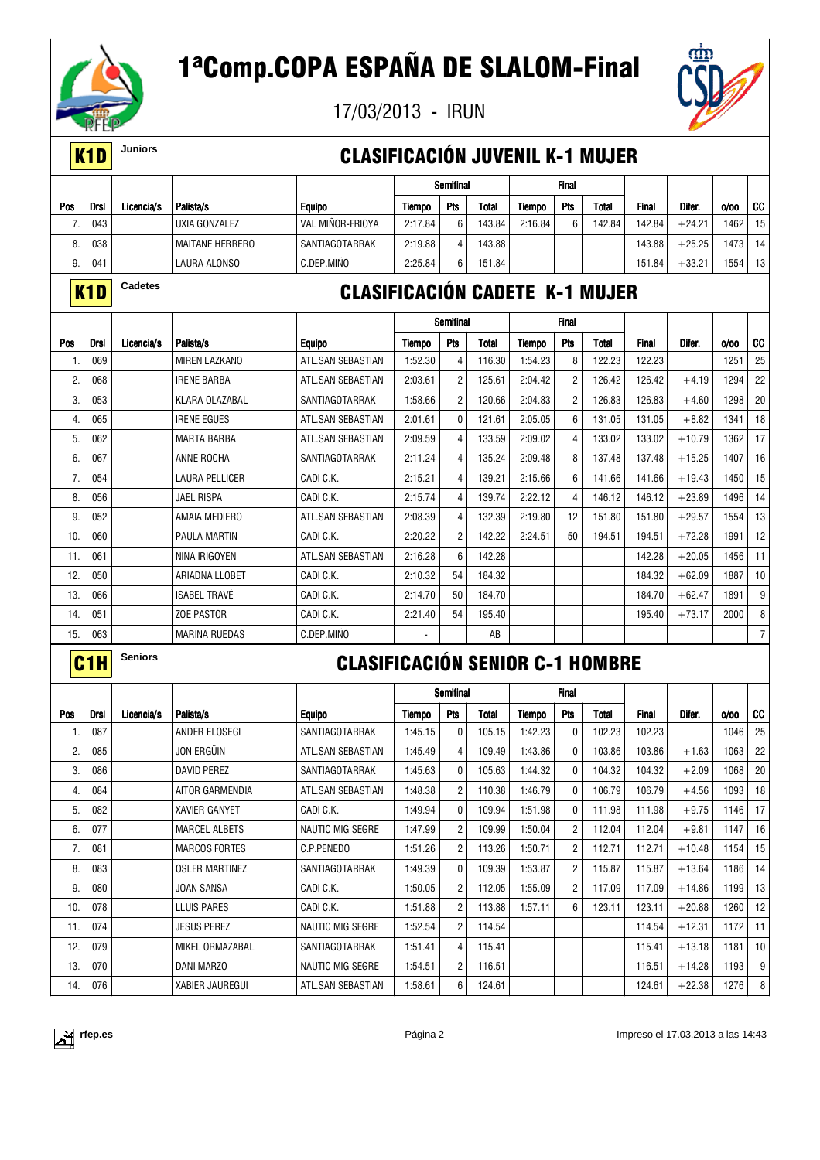

17/03/2013 - IRUN



### K1D **Juniors** CLASIFICACIÓN JUVENIL K-1 MUJER

|     |                 |            |                        |                  |         | Semifinal  |              |               | Final      |              |              |          |       |      |
|-----|-----------------|------------|------------------------|------------------|---------|------------|--------------|---------------|------------|--------------|--------------|----------|-------|------|
| Pos | Drsl            | Licencia/s | Palista/s              | <b>Equipo</b>    | Tiempo  | <b>Pts</b> | <b>Total</b> | <b>Tiempo</b> | <b>Pts</b> | <b>Total</b> | <b>Final</b> | Difer.   | 0/00  | CC   |
|     | 043             |            | UXIA GONZALEZ          | VAL MINOR-FRIOYA | 2:17.84 | 6          | 143.84       | 2:16.84       | 6          | 142.84       | 142.84       | $+24.21$ | 1462  | 15   |
| 8.  | 038             |            | <b>MAITANE HERRERO</b> | SANTIAGOTARRAK   | 2:19.88 | Δ          | 143.88       |               |            |              | 143.88       | $+25.25$ | 473 l | l 14 |
| 9.  | 04 <sup>2</sup> |            | LAURA ALONSO           | C.DEP.MINO       | 2:25.84 | 6          | 151.84       |               |            |              | 151.84       | $+33.21$ | 1554  | -13  |

## **K1D** Cadetes **CLASIFICACIÓN CADETE K-1 MUJER**

|     |             |            |                       |                   |                          | Semifinal      |        |         | <b>Final</b>   |        |              |          |      |                 |
|-----|-------------|------------|-----------------------|-------------------|--------------------------|----------------|--------|---------|----------------|--------|--------------|----------|------|-----------------|
| Pos | <b>Drsl</b> | Licencia/s | Palista/s             | <b>Equipo</b>     | Tiempo                   | <b>Pts</b>     | Total  | Tiempo  | Pts            | Total  | <b>Final</b> | Difer.   | 0/00 | <b>CC</b>       |
|     | 069         |            | <b>MIREN LAZKANO</b>  | ATL.SAN SEBASTIAN | 1:52.30                  | 4              | 116.30 | 1:54.23 | 8              | 122.23 | 122.23       |          | 1251 | 25              |
| 2.  | 068         |            | <b>IRENE BARBA</b>    | ATL.SAN SEBASTIAN | 2:03.61                  | $\overline{2}$ | 125.61 | 2:04.42 | $\overline{2}$ | 126.42 | 126.42       | $+4.19$  | 1294 | 22              |
| 3.  | 053         |            | KLARA OLAZABAL        | SANTIAGOTARRAK    | 1:58.66                  | $\overline{2}$ | 120.66 | 2:04.83 | $\overline{c}$ | 126.83 | 126.83       | $+4.60$  | 1298 | 20              |
| 4.  | 065         |            | <b>IRENE EGUES</b>    | ATL.SAN SEBASTIAN | 2:01.61                  | 0              | 121.61 | 2:05.05 | 6              | 131.05 | 131.05       | $+8.82$  | 1341 | 18              |
| 5.  | 062         |            | <b>MARTA BARBA</b>    | ATL.SAN SEBASTIAN | 2:09.59                  | 4              | 133.59 | 2:09.02 | 4              | 133.02 | 133.02       | $+10.79$ | 1362 | 17              |
| 6.  | 067         |            | ANNE ROCHA            | SANTIAGOTARRAK    | 2:11.24                  | 4              | 135.24 | 2:09.48 | 8              | 137.48 | 137.48       | $+15.25$ | 1407 | 16              |
| 7.  | 054         |            | <b>LAURA PELLICER</b> | CADI C.K.         | 2:15.21                  | 4              | 139.21 | 2:15.66 | 6              | 141.66 | 141.66       | $+19.43$ | 1450 | 15              |
| 8.  | 056         |            | <b>JAEL RISPA</b>     | CADI C.K.         | 2:15.74                  | 4              | 139.74 | 2:22.12 | 4              | 146.12 | 146.12       | $+23.89$ | 1496 | 14              |
| 9.  | 052         |            | AMAIA MEDIERO         | ATL.SAN SEBASTIAN | 2:08.39                  | 4              | 132.39 | 2:19.80 | 12             | 151.80 | 151.80       | $+29.57$ | 1554 | 13              |
| 10. | 060         |            | PAULA MARTIN          | CADI C.K.         | 2:20.22                  | $\overline{c}$ | 142.22 | 2:24.51 | 50             | 194.51 | 194.51       | $+72.28$ | 1991 | 12              |
| 11. | 061         |            | NINA IRIGOYEN         | ATL.SAN SEBASTIAN | 2:16.28                  | 6              | 142.28 |         |                |        | 142.28       | $+20.05$ | 1456 | 11              |
| 12. | 050         |            | ARIADNA LLOBET        | CADI C.K.         | 2:10.32                  | 54             | 184.32 |         |                |        | 184.32       | $+62.09$ | 1887 | 10 <sup>°</sup> |
| 13. | 066         |            | <b>ISABEL TRAVE</b>   | CADI C.K.         | 2:14.70                  | 50             | 184.70 |         |                |        | 184.70       | $+62.47$ | 1891 | 9               |
| 14. | 051         |            | <b>ZOE PASTOR</b>     | CADI C.K.         | 2:21.40                  | 54             | 195.40 |         |                |        | 195.40       | $+73.17$ | 2000 | 8               |
| 15. | 063         |            | <b>MARINA RUEDAS</b>  | C.DEP.MIÑO        | $\overline{\phantom{0}}$ |                | AB     |         |                |        |              |          |      | $\overline{7}$  |

## C1H **Seniors** CLASIFICACIÓN SENIOR C-1 HOMBRE

|     |             |            |                        |                         |         | Semifinal      |        |         | <b>Final</b>   |              |              |          |      |                 |
|-----|-------------|------------|------------------------|-------------------------|---------|----------------|--------|---------|----------------|--------------|--------------|----------|------|-----------------|
| Pos | <b>Drsl</b> | Licencia/s | Palista/s              | <b>Equipo</b>           | Tiempo  | Pts            | Total  | Tiempo  | Pts            | <b>Total</b> | <b>Final</b> | Difer.   | 0/00 | cc              |
|     | 087         |            | ANDER ELOSEGI          | SANTIAGOTARRAK          | 1:45.15 | 0              | 105.15 | 1:42.23 | 0              | 102.23       | 102.23       |          | 1046 | 25              |
| 2.  | 085         |            | JON ERGÜIN             | ATL.SAN SEBASTIAN       | 1:45.49 | 4              | 109.49 | 1:43.86 | $\Omega$       | 103.86       | 103.86       | $+1.63$  | 1063 | 22              |
| 3.  | 086         |            | <b>DAVID PEREZ</b>     | SANTIAGOTARRAK          | 1:45.63 | $\mathbf{0}$   | 105.63 | 1:44.32 | 0              | 104.32       | 104.32       | $+2.09$  | 1068 | 20              |
| 4.  | 084         |            | AITOR GARMENDIA        | ATL.SAN SEBASTIAN       | 1:48.38 | $\overline{2}$ | 110.38 | 1:46.79 | 0              | 106.79       | 106.79       | $+4.56$  | 1093 | 18              |
| 5.  | 082         |            | <b>XAVIER GANYET</b>   | CADI C.K.               | 1:49.94 | $\Omega$       | 109.94 | 1:51.98 | $\Omega$       | 111.98       | 111.98       | $+9.75$  | 1146 | 17              |
| 6.  | 077         |            | <b>MARCEL ALBETS</b>   | <b>NAUTIC MIG SEGRE</b> | 1:47.99 | $\overline{2}$ | 109.99 | 1:50.04 | 2              | 112.04       | 112.04       | $+9.81$  | 1147 | 16              |
| 7.  | 081         |            | <b>MARCOS FORTES</b>   | C.P.PENEDO              | 1:51.26 | $\overline{2}$ | 113.26 | 1:50.71 | $\overline{2}$ | 112.71       | 112.71       | $+10.48$ | 1154 | 15              |
| 8.  | 083         |            | <b>OSLER MARTINEZ</b>  | SANTIAGOTARRAK          | 1:49.39 | $\mathbf{0}$   | 109.39 | 1:53.87 | 2              | 115.87       | 115.87       | $+13.64$ | 1186 | 14              |
| 9.  | 080         |            | JOAN SANSA             | CADI C.K.               | 1:50.05 | $\overline{2}$ | 112.05 | 1:55.09 | 2              | 117.09       | 117.09       | $+14.86$ | 1199 | 13              |
| 10. | 078         |            | <b>LLUIS PARES</b>     | CADI C.K.               | 1:51.88 | 2              | 113.88 | 1:57.11 | 6              | 123.11       | 123.11       | $+20.88$ | 1260 | 12              |
| 11. | 074         |            | <b>JESUS PEREZ</b>     | <b>NAUTIC MIG SEGRE</b> | 1:52.54 | $\overline{2}$ | 114.54 |         |                |              | 114.54       | $+12.31$ | 1172 | 11              |
| 12. | 079         |            | MIKEL ORMAZABAL        | SANTIAGOTARRAK          | 1:51.41 | 4              | 115.41 |         |                |              | 115.41       | $+13.18$ | 1181 | 10 <sup>1</sup> |
| 13. | 070         |            | DANI MARZO             | NAUTIC MIG SEGRE        | 1:54.51 | $\overline{2}$ | 116.51 |         |                |              | 116.51       | $+14.28$ | 1193 | 9               |
| 14. | 076         |            | <b>XABIER JAUREGUI</b> | ATL.SAN SEBASTIAN       | 1:58.61 | 6              | 124.61 |         |                |              | 124.61       | $+22.38$ | 1276 | 8               |

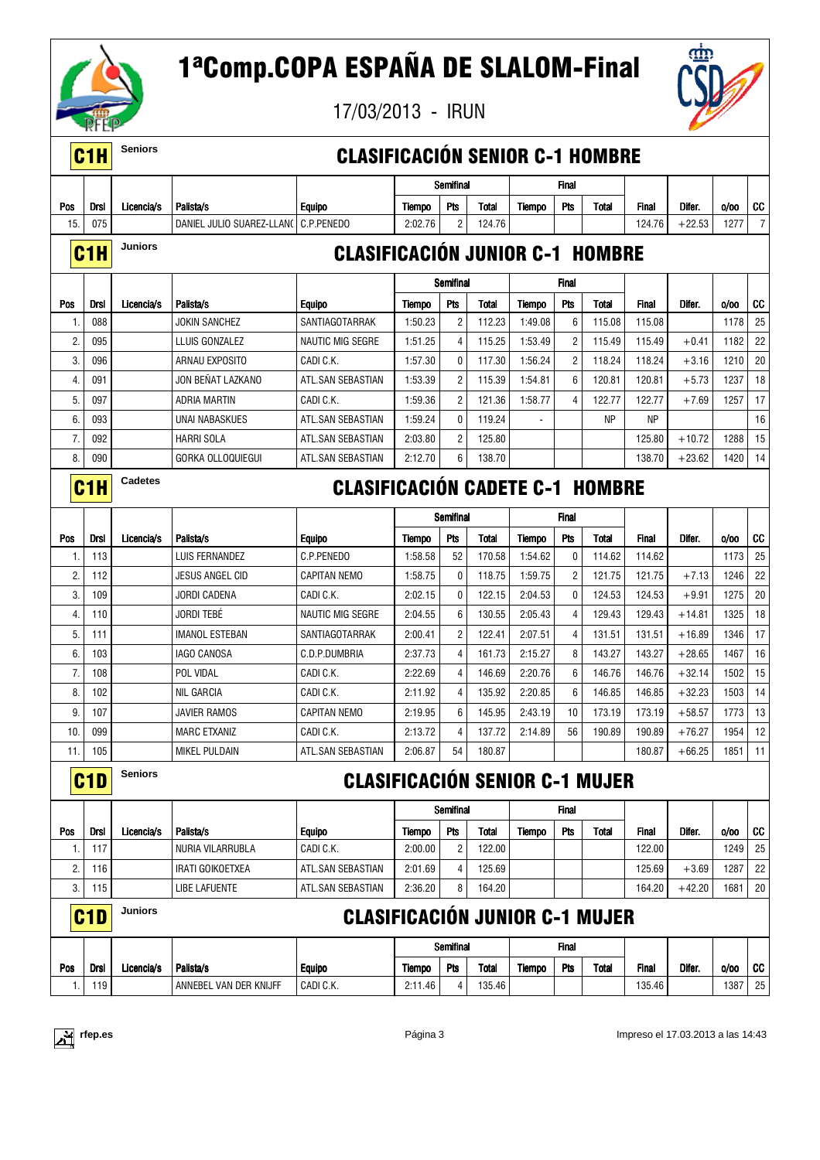

17/03/2013 - IRUN



|     | C <sub>1</sub> H | <b>Seniors</b> |                           | <b>CLASIFICACIÓN SENIOR C-1 HOMBRE</b> |               |                  |        |               |                |           |              |          |      |    |
|-----|------------------|----------------|---------------------------|----------------------------------------|---------------|------------------|--------|---------------|----------------|-----------|--------------|----------|------|----|
|     |                  |                |                           |                                        |               | <b>Semifinal</b> |        |               | Final          |           |              |          |      |    |
| Pos | Drsl             | Licencia/s     | Palista/s                 | <b>Equipo</b>                          | <b>Tiempo</b> | Pts              | Total  | <b>Tiempo</b> | Pts            | Total     | <b>Final</b> | Difer.   | 0/00 | CC |
| 15. | 075              |                | DANIEL JULIO SUAREZ-LLANO | C.P.PENEDO                             | 2:02.76       | 2                | 124.76 |               |                |           | 124.76       | $+22.53$ | 1277 | 7  |
|     | C <sub>1</sub> H | <b>Juniors</b> |                           | <b>CLASIFICACIÓN JUNIOR C-1 HOMBRE</b> |               |                  |        |               |                |           |              |          |      |    |
|     |                  |                |                           |                                        |               | Semifinal        |        |               | Final          |           |              |          |      |    |
| Pos | Drsl             | Licencia/s     | Palista/s                 | <b>Equipo</b>                          | <b>Tiempo</b> | Pts              | Total  | <b>Tiempo</b> | Pts            | Total     | <b>Final</b> | Difer.   | 0/00 | CC |
| 1.  | 088              |                | JOKIN SANCHEZ             | SANTIAGOTARRAK                         | 1:50.23       | 2                | 112.23 | 1:49.08       | 6              | 115.08    | 115.08       |          | 1178 | 25 |
| 2.  | 095              |                | LLUIS GONZALEZ            | NAUTIC MIG SEGRE                       | 1:51.25       | $\overline{4}$   | 115.25 | 1:53.49       | $\overline{c}$ | 115.49    | 115.49       | $+0.41$  | 1182 | 22 |
| 3.  | 096              |                | ARNAU EXPOSITO            | CADI C.K.                              | 1:57.30       | 0                | 117.30 | 1:56.24       | 2              | 118.24    | 118.24       | $+3.16$  | 1210 | 20 |
| 4.  | 091              |                | JON BEÑAT LAZKANO         | ATL.SAN SEBASTIAN                      | 1:53.39       | $\overline{2}$   | 115.39 | 1:54.81       | 6              | 120.81    | 120.81       | $+5.73$  | 1237 | 18 |
| 5.  | 097              |                | ADRIA MARTIN              | CADI C.K.                              | 1:59.36       | $\overline{2}$   | 121.36 | 1:58.77       | 4              | 122.77    | 122.77       | $+7.69$  | 1257 | 17 |
| 6.  | 093              |                | UNAI NABASKUES            | ATL.SAN SEBASTIAN                      | 1:59.24       | 0                | 119.24 |               |                | <b>NP</b> | <b>NP</b>    |          |      | 16 |
| 7.  | 092              |                | <b>HARRI SOLA</b>         | ATL.SAN SEBASTIAN                      | 2:03.80       | 2                | 125.80 |               |                |           | 125.80       | $+10.72$ | 1288 | 15 |
| 8.  | 090              |                | GORKA OLLOQUIEGUI         | ATL.SAN SEBASTIAN                      | 2:12.70       | 6                | 138.70 |               |                |           | 138.70       | $+23.62$ | 1420 | 14 |
|     | C <sub>1</sub> H | Cadetes        |                           | <b>CLASIFICACIÓN CADETE C-1 HOMBRE</b> |               |                  |        |               |                |           |              |          |      |    |
|     |                  |                |                           |                                        |               | Semifinal        |        |               | Final          |           |              |          |      |    |
| Pos | <b>Drsl</b>      | Licencia/s     | Palista/s                 | <b>Equipo</b>                          | Tiempo        | Pts              | Total  | Tiempo        | Pts            | Total     | <b>Final</b> | Difer.   | 0/00 | CC |
| 1.  | 113              |                | LUIS FERNANDEZ            | C.P.PENEDO                             | 1:58.58       | 52               | 170.58 | 1:54.62       | 0              | 114.62    | 114.62       |          | 1173 | 25 |
| 2.  | 112              |                | JESUS ANGEL CID           | <b>CAPITAN NEMO</b>                    | 1:58.75       | 0                | 118.75 | 1:59.75       | 2              | 121.75    | 121.75       | $+7.13$  | 1246 | 22 |
| 3.  | 109              |                | JORDI CADENA              | CADI C.K.                              | 2:02.15       | 0                | 122.15 | 2:04.53       | 0              | 124.53    | 124.53       | $+9.91$  | 1275 | 20 |
| 4.  | 110              |                | Jordi tebé                | <b>NAUTIC MIG SEGRE</b>                | 2:04.55       | 6                | 130.55 | 2:05.43       | 4              | 129.43    | 129.43       | $+14.81$ | 1325 | 18 |
| 5.  | 111              |                | <b>IMANOL ESTEBAN</b>     | SANTIAGOTARRAK                         | 2:00.41       | $\overline{2}$   | 122.41 | 2:07.51       | 4              | 131.51    | 131.51       | $+16.89$ | 1346 | 17 |
| 6.  | 103              |                | IAGO CANOSA               | C.D.P.DUMBRIA                          | 2:37.73       | 4                | 161.73 | 2:15.27       | 8              | 143.27    | 143.27       | $+28.65$ | 1467 | 16 |
| 7.  | 108              |                | POL VIDAL                 | CADI C.K.                              | 2:22.69       | 4                | 146.69 | 2:20.76       | 6              | 146.76    | 146.76       | $+32.14$ | 1502 | 15 |
| 8.  | 102              |                | <b>NIL GARCIA</b>         | CADI C.K.                              | 2:11.92       | 4                | 135.92 | 2:20.85       | 6              | 146.85    | 146.85       | $+32.23$ | 1503 | 14 |
| 9.  | 107              |                | <b>JAVIER RAMOS</b>       | <b>CAPITAN NEMO</b>                    | 2:19.95       | 6                | 145.95 | 2:43.19       | 10             | 173.19    | 173.19       | $+58.57$ | 1773 | 13 |
| 10. | 099              |                | <b>MARC ETXANIZ</b>       | CADI C.K.                              | 2:13.72       | $\overline{4}$   | 137.72 | 2:14.89       | 56             | 190.89    | 190.89       | $+76.27$ | 1954 | 12 |
| 11. | 105              |                | MIKEL PULDAIN             | ATL.SAN SEBASTIAN                      | 2:06.87       | 54               | 180.87 |               |                |           | 180.87       | $+66.25$ | 1851 | 11 |
|     | C <sub>1</sub> D | <b>Seniors</b> |                           | <b>CLASIFICACIÓN SENIOR C-1 MUJER</b>  |               |                  |        |               |                |           |              |          |      |    |
|     |                  |                |                           |                                        |               | Semifinal        |        |               | Final          |           |              |          |      |    |
| Pos | <b>Drsl</b>      | Licencia/s     | Palista/s                 | <b>Equipo</b>                          | Tiempo        | Pts              | Total  | <b>Tiempo</b> | Pts            | Total     | <b>Final</b> | Difer.   | 0/00 | CC |
| 1.  | 117              |                | NURIA VILARRUBLA          | CADI C.K.                              | 2:00.00       | $\overline{c}$   | 122.00 |               |                |           | 122.00       |          | 1249 | 25 |
| 2.  | 116              |                | IRATI GOIKOETXEA          | ATL.SAN SEBASTIAN                      | 2:01.69       | 4                | 125.69 |               |                |           | 125.69       | $+3.69$  | 1287 | 22 |
| 3.  | 115              |                | <b>LIBE LAFUENTE</b>      | ATL.SAN SEBASTIAN                      | 2:36.20       | 8                | 164.20 |               |                |           | 164.20       | $+42.20$ | 1681 | 20 |
|     | C <sub>1</sub> D | <b>Juniors</b> |                           | <b>CLASIFICACIÓN JUNIOR C-1 MUJER</b>  |               |                  |        |               |                |           |              |          |      |    |
|     |                  |                |                           |                                        |               | Semifinal        |        |               | Final          |           |              |          |      |    |
| Pos | Drsl             | Licencia/s     | Palista/s                 | <b>Equipo</b>                          | Tiempo        | Pts              | Total  | Tiempo        | Pts            | Total     | Final        | Difer.   | 0/00 | CC |
| 1.  | 119              |                | ANNEBEL VAN DER KNIJFF    | CADI C.K.                              | 2:11.46       | 4                | 135.46 |               |                |           | 135.46       |          | 1387 | 25 |

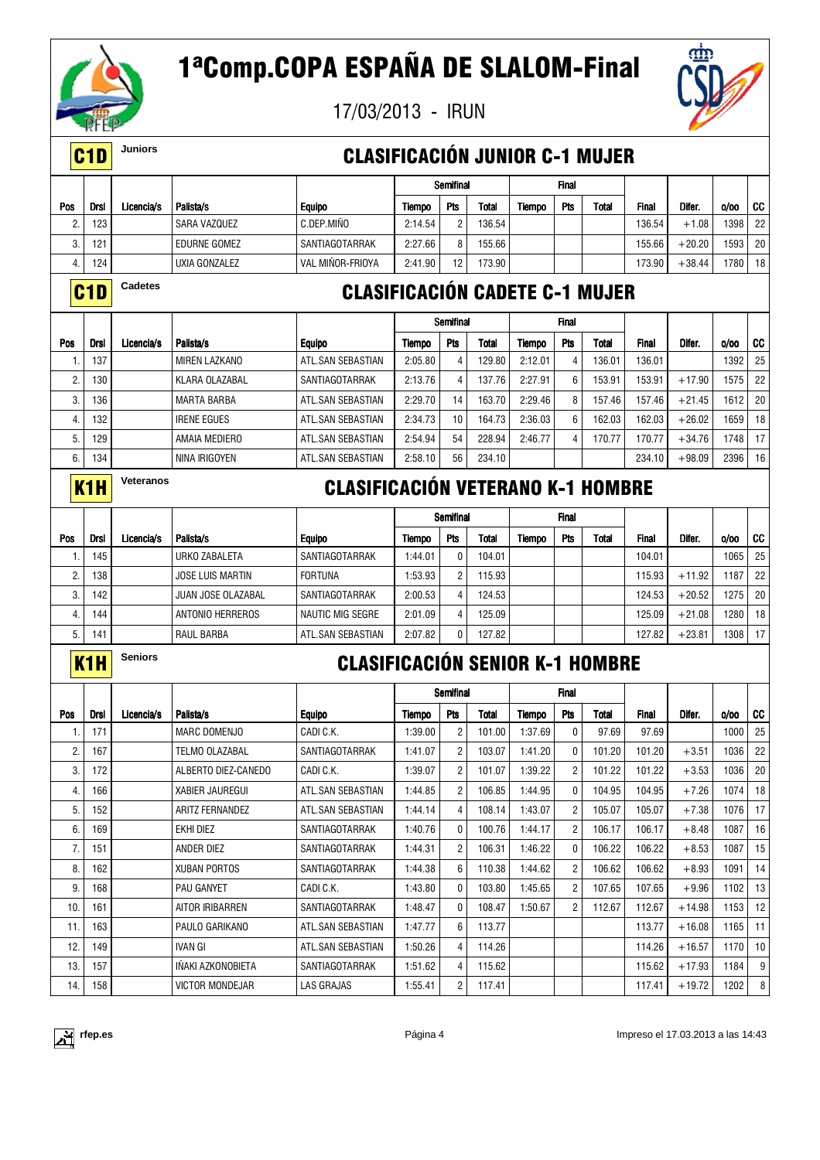

17/03/2013 - IRUN



### C1D **Juniors** CLASIFICACIÓN JUNIOR C-1 MUJER

|            |                  |            |                      |                                       |         | Semifinal  |              |         | <b>Final</b> |       |              |          |         |    |
|------------|------------------|------------|----------------------|---------------------------------------|---------|------------|--------------|---------|--------------|-------|--------------|----------|---------|----|
| Pos        | <b>Drsl</b>      | Licencia/s | Palista/s            | <b>Equipo</b>                         | Tiempo  | <b>Pts</b> | Total        | Tiempo  | <b>Pts</b>   | Total | <b>Final</b> | Difer.   | 0/00    | CC |
| 2.         | 123              |            | SARA VAZQUEZ         | C.DEP.MIÑO                            | 2:14.54 | 2          | 136.54       |         |              |       | 136.54       | $+1.08$  | 1398    | 22 |
| 3.         | 121              |            | <b>EDURNE GOMEZ</b>  | SANTIAGOTARRAK                        | 2:27.66 | 8          | 155.66       |         |              |       | 155.66       | $+20.20$ | 1593    | 20 |
| 4.         | 124              |            | UXIA GONZALEZ        | VAL MIÑOR-FRIOYA                      | 2:41.90 | 12         | 173.90       |         |              |       | 173.90       | $+38.44$ | 1780 18 |    |
|            | C <sub>1</sub> D | Cadetes    |                      | <b>CLASIFICACIÓN CADETE C-1 MUJER</b> |         |            |              |         |              |       |              |          |         |    |
|            |                  |            |                      |                                       |         | Semifinal  |              |         | <b>Final</b> |       |              |          |         |    |
| <b>Pos</b> | <b>Drsl</b>      | Licencia/s | Palista/s            | <b>Equipo</b>                         | Tiempo  | Pts        | <b>Total</b> | Tiempo  | Pts          | Total | <b>Final</b> | Difer.   | 0/00    | CC |
| ι.         | 137              |            | <b>MIREN LAZKANO</b> | ATL.SAN SEBASTIAN                     | 2:05.80 | 4          | 129.80       | 2:12.01 | 4            | 36.01 | 136.01       |          | 1392    | 25 |

#### 2. 130 KLARA OLAZABAL SANTIAGOTARRAK 2:13.76 4 137.76 2:27.91 6 153.91 153.91 +17.90 1575 22 3. 136 MARTA BARBA ATL.SAN SEBASTIAN 2:29.70 14 163.70 2:29.46 8 157.46 157.46 +21.45 1612 20 4. 132 IRENE EGUES ATL.SAN SEBASTIAN 2:34.73 10 164.73 2:36.03 6 162.03 162.03 +26.02 1659 18 5. 129 AMAIA MEDIERO ATL.SAN SEBASTIAN 2:54.94 54 228.94 2:46.77 4 170.77 170.77 +34.76 1748 17 6. 134 NINA IRIGOYEN ATL.SAN SEBASTIAN 2:58.10 56 234.10 234.10 +98.09 2396 16

### K1H **Veteranos** CLASIFICACIÓN VETERANO K-1 HOMBRE

|         |             |            |                         |                   |         | <b>Semifinal</b> |        |        | <b>Final</b> |       |              |          |      |                 |
|---------|-------------|------------|-------------------------|-------------------|---------|------------------|--------|--------|--------------|-------|--------------|----------|------|-----------------|
| Pos     | <b>Drsl</b> | Licencia/s | Palista/s               | <b>Equipo</b>     | Tiempo  | Pts              | Total  | Tiempo | Pts          | Total | <b>Final</b> | Difer.   | 0/00 | CC              |
|         | 145         |            | URKO ZABALETA           | SANTIAGOTARRAK    | 1:44.01 | $\mathbf{0}$     | 104.01 |        |              |       | 104.01       |          | 1065 | 25 <sup>1</sup> |
| c<br>۷. | 138         |            | <b>JOSE LUIS MARTIN</b> | <b>FORTUNA</b>    | 1:53.93 | $\overline{2}$   | 115.93 |        |              |       | 115.93       | $+11.92$ | 1187 | 221             |
| 3.      | 142         |            | JUAN JOSE OLAZABAL      | SANTIAGOTARRAK    | 2:00.53 | 4                | 124.53 |        |              |       | 124.53       | $+20.52$ | 1275 | 20 <sub>1</sub> |
|         | 144         |            | ANTONIO HERREROS        | NAUTIC MIG SEGRE  | 2:01.09 | 4                | 125.09 |        |              |       | 125.09       | $+21.08$ | 1280 | 18 <sup>1</sup> |
| 5       | 141         |            | RAUL BARBA              | ATL.SAN SEBASTIAN | 2:07.82 | 0                | 127.82 |        |              |       | 127.82       | $+23.81$ | 1308 | 17 <sup>1</sup> |

### K1H **Seniors** CLASIFICACIÓN SENIOR K-1 HOMBRE

|     |      |            |                          |                   |         | Semifinal      |              |         | <b>Final</b>   |        |              |          |      |                 |
|-----|------|------------|--------------------------|-------------------|---------|----------------|--------------|---------|----------------|--------|--------------|----------|------|-----------------|
| Pos | Drsl | Licencia/s | Palista/s                | <b>Equipo</b>     | Tiempo  | <b>Pts</b>     | <b>Total</b> | Tiempo  | <b>Pts</b>     | Total  | <b>Final</b> | Difer.   | 0/00 | cc              |
| 1.  | 171  |            | <b>MARC DOMENJO</b>      | CADI C.K.         | 1:39.00 | $\overline{2}$ | 101.00       | 1:37.69 | 0              | 97.69  | 97.69        |          | 1000 | 25              |
| 2.  | 167  |            | TELMO OLAZABAL           | SANTIAGOTARRAK    | 1:41.07 | $\overline{2}$ | 103.07       | 1:41.20 | $\mathbf{0}$   | 101.20 | 101.20       | $+3.51$  | 1036 | 22              |
| 3.  | 172  |            | ALBERTO DIEZ-CANEDO      | CADI C.K.         | 1:39.07 | $\overline{2}$ | 101.07       | 1:39.22 | $\overline{2}$ | 101.22 | 101.22       | $+3.53$  | 1036 | 20              |
| 4.  | 166  |            | <b>XABIER JAUREGUI</b>   | ATL.SAN SEBASTIAN | 1:44.85 | $\overline{2}$ | 106.85       | 1:44.95 | $\mathbf{0}$   | 104.95 | 104.95       | $+7.26$  | 1074 | 18              |
| 5.  | 152  |            | ARITZ FERNANDEZ          | ATL.SAN SEBASTIAN | 1:44.14 | $\overline{4}$ | 108.14       | 1:43.07 | $\overline{2}$ | 105.07 | 105.07       | $+7.38$  | 1076 | 17              |
| 6.  | 169  |            | EKHI DIEZ                | SANTIAGOTARRAK    | 1:40.76 | $\mathbf{0}$   | 100.76       | 1:44.17 | $\overline{2}$ | 106.17 | 106.17       | $+8.48$  | 1087 | 16              |
| 7.  | 151  |            | ANDER DIEZ               | SANTIAGOTARRAK    | 1:44.31 | $\overline{2}$ | 106.31       | 1:46.22 | $\mathbf{0}$   | 106.22 | 106.22       | $+8.53$  | 1087 | 15              |
| 8.  | 162  |            | <b>XUBAN PORTOS</b>      | SANTIAGOTARRAK    | 1:44.38 | 6              | 110.38       | 1:44.62 | 2              | 106.62 | 106.62       | $+8.93$  | 1091 | 14              |
| 9.  | 168  |            | <b>PAU GANYET</b>        | CADI C.K.         | 1:43.80 | $\mathbf{0}$   | 103.80       | 1:45.65 | $\overline{2}$ | 107.65 | 107.65       | $+9.96$  | 1102 | 13              |
| 10. | 161  |            | AITOR IRIBARREN          | SANTIAGOTARRAK    | 1:48.47 | $\mathbf{0}$   | 108.47       | 1:50.67 | $\overline{2}$ | 112.67 | 112.67       | $+14.98$ | 1153 | 12              |
| 11. | 163  |            | PAULO GARIKANO           | ATL.SAN SEBASTIAN | 1:47.77 | 6              | 113.77       |         |                |        | 113.77       | $+16.08$ | 1165 | 11              |
| 12. | 149  |            | <b>IVAN GI</b>           | ATL.SAN SEBASTIAN | 1:50.26 | $\overline{4}$ | 114.26       |         |                |        | 114.26       | $+16.57$ | 1170 | 10 <sup>1</sup> |
| 13. | 157  |            | <b>INAKI AZKONOBIETA</b> | SANTIAGOTARRAK    | 1:51.62 | $\overline{4}$ | 115.62       |         |                |        | 115.62       | $+17.93$ | 1184 | 9 <sup>1</sup>  |
| 14. | 158  |            | <b>VICTOR MONDEJAR</b>   | LAS GRAJAS        | 1:55.41 | 2              | 117.41       |         |                |        | 117.41       | $+19.72$ | 1202 | 8               |

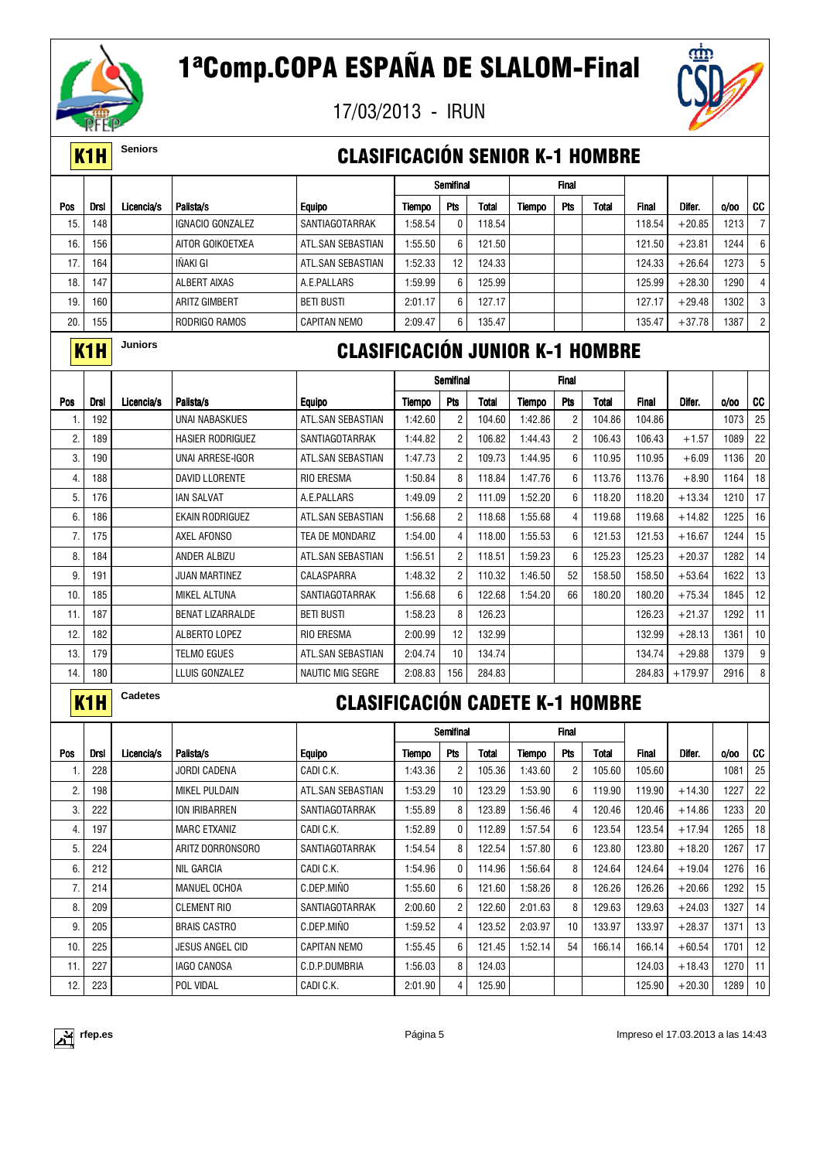

17/03/2013 - IRUN



### K1H **Seniors** CLASIFICACIÓN SENIOR K-1 HOMBRE

|     |      |            |                      |                     |         | Semifinal  |        |        | <b>Final</b> |       |              |          |        |                |
|-----|------|------------|----------------------|---------------------|---------|------------|--------|--------|--------------|-------|--------------|----------|--------|----------------|
| Pos | Drsl | Licencia/s | Palista/s            | <b>Equipo</b>       | Tiempo  | <b>Pts</b> | Total  | Tiempo | Pts          | Total | <b>Final</b> | Difer.   | 0/00   | CC             |
| 15. | 148  |            | IGNACIO GONZALEZ     | SANTIAGOTARRAK      | 1:58.54 | 0          | 18.54  |        |              |       | 118.54       | $+20.85$ | 1213   |                |
| 16. | 156  |            | AITOR GOIKOETXEA     | ATL.SAN SEBASTIAN   | 1:55.50 | 6          | 121.50 |        |              |       | 121.50       | $+23.81$ | 1244   | 6              |
| 17. | 164  |            | IÑAKI GI             | ATL.SAN SEBASTIAN   | 1:52.33 | 12         | 124.33 |        |              |       | 124.33       | $+26.64$ | 1273   | -5             |
| 18. | 147  |            | ALBERT AIXAS         | A.E.PALLARS         | 1:59.99 | 6          | 125.99 |        |              |       | 125.99       | $+28.30$ | 1290 I | 4              |
| 19. | 160. |            | <b>ARITZ GIMBERT</b> | <b>BETI BUSTI</b>   | 2:01.17 | 6          | 127.17 |        |              |       | 127.17       | $+29.48$ | 1302   | 3              |
| 20. | 155  |            | RODRIGO RAMOS        | <b>CAPITAN NEMO</b> | 2:09.47 | 6          | 135.47 |        |              |       | 135.47       | $+37.78$ | 1387   | $\overline{2}$ |

### K1H **Juniors** CLASIFICACIÓN JUNIOR K-1 HOMBRE

|     |             |            |                         |                         |         | Semifinal      |              |         | <b>Final</b>   |        |              |           |      |                 |
|-----|-------------|------------|-------------------------|-------------------------|---------|----------------|--------------|---------|----------------|--------|--------------|-----------|------|-----------------|
| Pos | <b>Drsl</b> | Licencia/s | Palista/s               | <b>Equipo</b>           | Tiempo  | Pts            | <b>Total</b> | Tiempo  | <b>Pts</b>     | Total  | <b>Final</b> | Difer.    | 0/00 | cc              |
| Ι.  | 192         |            | UNAI NABASKUES          | ATL.SAN SEBASTIAN       | 1:42.60 | $\overline{2}$ | 104.60       | 1:42.86 | $\overline{c}$ | 104.86 | 104.86       |           | 1073 | 25              |
| 2.  | 189         |            | <b>HASIER RODRIGUEZ</b> | SANTIAGOTARRAK          | 1:44.82 | $\overline{2}$ | 106.82       | 1:44.43 | $\overline{2}$ | 106.43 | 106.43       | $+1.57$   | 1089 | 22              |
| 3.  | 190         |            | UNAI ARRESE-IGOR        | ATL.SAN SEBASTIAN       | 1:47.73 | $\overline{2}$ | 109.73       | 1:44.95 | 6              | 110.95 | 110.95       | $+6.09$   | 1136 | 20              |
| 4.  | 188         |            | <b>DAVID LLORENTE</b>   | <b>RIO ERESMA</b>       | 1:50.84 | 8              | 118.84       | 1:47.76 | 6              | 113.76 | 113.76       | $+8.90$   | 1164 | 18              |
| 5.  | 176         |            | <b>IAN SALVAT</b>       | A.E.PALLARS             | 1:49.09 | $\overline{2}$ | 111.09       | 1:52.20 | 6              | 118.20 | 118.20       | $+13.34$  | 1210 | 17              |
| 6.  | 186         |            | <b>EKAIN RODRIGUEZ</b>  | ATL.SAN SEBASTIAN       | 1:56.68 | $\overline{2}$ | 118.68       | 1:55.68 | 4              | 119.68 | 119.68       | $+14.82$  | 1225 | 16              |
| 7.  | 175         |            | AXEL AFONSO             | TEA DE MONDARIZ         | 1:54.00 | 4              | 118.00       | 1:55.53 | 6              | 121.53 | 121.53       | $+16.67$  | 1244 | 15              |
| 8.  | 184         |            | ANDER ALBIZU            | ATL.SAN SEBASTIAN       | 1:56.51 | $\overline{c}$ | 118.51       | 1:59.23 | 6              | 125.23 | 125.23       | $+20.37$  | 1282 | 14              |
| 9.  | 191         |            | <b>JUAN MARTINEZ</b>    | CALASPARRA              | 1:48.32 | $\overline{2}$ | 110.32       | 1:46.50 | 52             | 158.50 | 158.50       | $+53.64$  | 1622 | 13              |
| 10. | 185         |            | <b>MIKEL ALTUNA</b>     | SANTIAGOTARRAK          | 1:56.68 | 6              | 122.68       | 1:54.20 | 66             | 180.20 | 180.20       | $+75.34$  | 1845 | 12              |
| 11. | 187         |            | <b>BENAT LIZARRALDE</b> | <b>BETI BUSTI</b>       | 1:58.23 | 8              | 126.23       |         |                |        | 126.23       | $+21.37$  | 1292 | 11              |
| 12. | 182         |            | ALBERTO LOPEZ           | <b>RIO ERESMA</b>       | 2:00.99 | 12             | 132.99       |         |                |        | 132.99       | $+28.13$  | 1361 | 10 <sup>1</sup> |
| 13. | 179         |            | TELMO EGUES             | ATL.SAN SEBASTIAN       | 2:04.74 | 10             | 134.74       |         |                |        | 134.74       | $+29.88$  | 1379 | 9               |
| 14. | 180         |            | LLUIS GONZALEZ          | <b>NAUTIC MIG SEGRE</b> | 2:08.83 | 156            | 284.83       |         |                |        | 284.83       | $+179.97$ | 2916 | 8               |
|     |             |            |                         |                         |         |                |              |         |                |        |              |           |      |                 |

| <b>Contract Contract Contract Contract Contract Contract Contract Contract Contract Contract Contract Contract Co</b><br>$\mathcal{L}^{\text{max}}_{\text{max}}$ and $\mathcal{L}^{\text{max}}_{\text{max}}$ and $\mathcal{L}^{\text{max}}_{\text{max}}$<br>$\mathcal{L}^{\text{max}}_{\text{max}}$ and $\mathcal{L}^{\text{max}}_{\text{max}}$ and $\mathcal{L}^{\text{max}}_{\text{max}}$<br><b>Contract Contract Contract Contract Contract Contract Contract Contract Contract Contract Contract Contract Co</b>                                                                                                     |  |
|--------------------------------------------------------------------------------------------------------------------------------------------------------------------------------------------------------------------------------------------------------------------------------------------------------------------------------------------------------------------------------------------------------------------------------------------------------------------------------------------------------------------------------------------------------------------------------------------------------------------------|--|
| <b>Contract Contract Contract Contract Contract Contract Contract Contract Contract Contract Contract Contract Co</b><br><b>Contract Contract Contract Contract Contract Contract Contract Contract Contract Contract Contract Contract Co</b><br><b>Contract Contract Contract Contract Contract Contract Contract Contract Contract Contract Contract Contract Co</b><br><b>Contract Contract Contract Contract Contract Contract Contract Contract Contract Contract Contract Contract Co</b><br><b>STATE OF STATE OF STATE OF STATE OF STATE OF STATE OF STATE OF STATE OF STATE OF STATE OF STATE OF STATE OF S</b> |  |

### Cadetes **CLASIFICACIÓN CADETE K-1 HOMBRE**

|     |             |            |                        |                     |         | Semifinal       |        |         | <b>Final</b> |        |        |          |      |                 |
|-----|-------------|------------|------------------------|---------------------|---------|-----------------|--------|---------|--------------|--------|--------|----------|------|-----------------|
| Pos | <b>Drsl</b> | Licencia/s | Palista/s              | <b>Equipo</b>       | Tiempo  | Pts             | Total  | Tiempo  | Pts          | Total  | Final  | Difer.   | 0/00 | CC              |
|     | 228         |            | <b>JORDI CADENA</b>    | CADI C.K.           | 1:43.36 | 2               | 105.36 | 1:43.60 | 2            | 105.60 | 105.60 |          | 1081 | 25              |
| 2.  | 198         |            | MIKEL PULDAIN          | ATL.SAN SEBASTIAN   | 1:53.29 | 10 <sup>1</sup> | 123.29 | 1:53.90 | 6            | 119.90 | 119.90 | $+14.30$ | 1227 | 22              |
| 3.  | 222         |            | ION IRIBARREN          | SANTIAGOTARRAK      | 1:55.89 | 8               | 123.89 | 1:56.46 | 4            | 120.46 | 120.46 | $+14.86$ | 1233 | 20              |
| 4.  | 197         |            | <b>MARC ETXANIZ</b>    | CADI C.K.           | 1:52.89 | 0               | 112.89 | 1:57.54 | 6            | 123.54 | 123.54 | $+17.94$ | 1265 | 18              |
| 5.  | 224         |            | ARITZ DORRONSORO       | SANTIAGOTARRAK      | 1:54.54 | 8               | 122.54 | 1:57.80 | 6            | 123.80 | 123.80 | $+18.20$ | 1267 | 17              |
| 6.  | 212         |            | <b>NIL GARCIA</b>      | CADI C.K.           | 1:54.96 | $\mathbf{0}$    | 114.96 | 1:56.64 | 8            | 124.64 | 124.64 | $+19.04$ | 1276 | 16              |
| 7.  | 214         |            | MANUEL OCHOA           | C.DEP.MINO          | 1:55.60 | 6               | 121.60 | 1:58.26 | 8            | 126.26 | 126.26 | $+20.66$ | 1292 | 15              |
| 8.  | 209         |            | <b>CLEMENT RIO</b>     | SANTIAGOTARRAK      | 2:00.60 | $\overline{2}$  | 122.60 | 2:01.63 | 8            | 129.63 | 129.63 | $+24.03$ | 1327 | 14              |
| 9.  | 205         |            | <b>BRAIS CASTRO</b>    | C.DEP.MINO          | 1:59.52 | 4               | 123.52 | 2:03.97 | 10           | 133.97 | 133.97 | $+28.37$ | 1371 | 13              |
| 10. | 225         |            | <b>JESUS ANGEL CID</b> | <b>CAPITAN NEMO</b> | 1:55.45 | 6               | 121.45 | 1:52.14 | 54           | 166.14 | 166.14 | $+60.54$ | 1701 | 12              |
| 11. | 227         |            | <b>IAGO CANOSA</b>     | C.D.P.DUMBRIA       | 1:56.03 | 8               | 124.03 |         |              |        | 124.03 | $+18.43$ | 1270 | 11              |
| 12. | 223         |            | POL VIDAL              | CADI C.K.           | 2:01.90 | 4               | 125.90 |         |              |        | 125.90 | $+20.30$ | 1289 | 10 <sup>°</sup> |

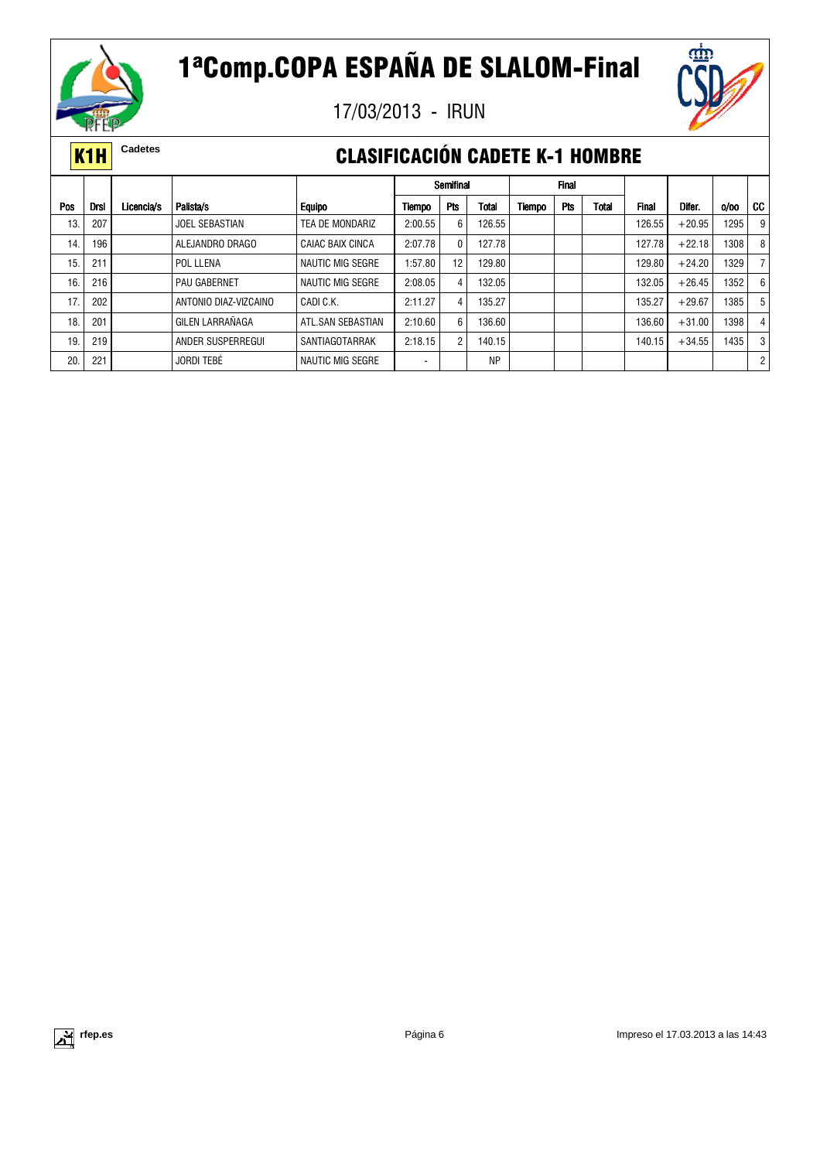

17/03/2013 - IRUN



### **K1H** Cadetes **CLASIFICACIÓN CADETE K-1 HOMBRE**

|            |             |            |                       |                         |         | Semifinal      |           |        | <b>Final</b> |       |              |          |      |                      |
|------------|-------------|------------|-----------------------|-------------------------|---------|----------------|-----------|--------|--------------|-------|--------------|----------|------|----------------------|
| <b>Pos</b> | <b>Drsl</b> | Licencia/s | Palista/s             | <b>Equipo</b>           | Tiempo  | <b>Pts</b>     | Total     | Tiempo | <b>Pts</b>   | Total | <b>Final</b> | Difer.   | 0/00 | CC                   |
| 13.        | 207         |            | <b>JOEL SEBASTIAN</b> | TEA DE MONDARIZ         | 2:00.55 | 6              | 126.55    |        |              |       | 126.55       | $+20.95$ | 1295 | 9                    |
| 14.        | 196         |            | ALEJANDRO DRAGO       | <b>CAIAC BAIX CINCA</b> | 2:07.78 | 0              | 127.78    |        |              |       | 127.78       | $+22.18$ | 1308 | 8                    |
| 15.        | 211         |            | POL LLENA             | <b>NAUTIC MIG SEGRE</b> | 1:57.80 | 12             | 129.80    |        |              |       | 129.80       | $+24.20$ | 1329 |                      |
| 16.        | 216         |            | PAU GABERNET          | <b>NAUTIC MIG SEGRE</b> | 2:08.05 | 4              | 132.05    |        |              |       | 132.05       | $+26.45$ | 1352 | 6 <sup>1</sup>       |
| 17.        | 202         |            | ANTONIO DIAZ-VIZCAINO | CADI C.K.               | 2:11.27 | 4              | 135.27    |        |              |       | 135.27       | $+29.67$ | 1385 | 5                    |
| 18.        | 201         |            | GILEN LARRAÑAGA       | ATL.SAN SEBASTIAN       | 2:10.60 | 6              | 136.60    |        |              |       | 136.60       | $+31.00$ | 1398 | 4                    |
| 19         | 219         |            | ANDER SUSPERREGUI     | SANTIAGOTARRAK          | 2:18.15 | $\overline{2}$ | 140.15    |        |              |       | 140.15       | $+34.55$ | 1435 | 3                    |
| 20         | 221         |            | <b>JORDI TEBÉ</b>     | <b>NAUTIC MIG SEGRE</b> | -       |                | <b>NP</b> |        |              |       |              |          |      | $\mathbf{2}^{\circ}$ |

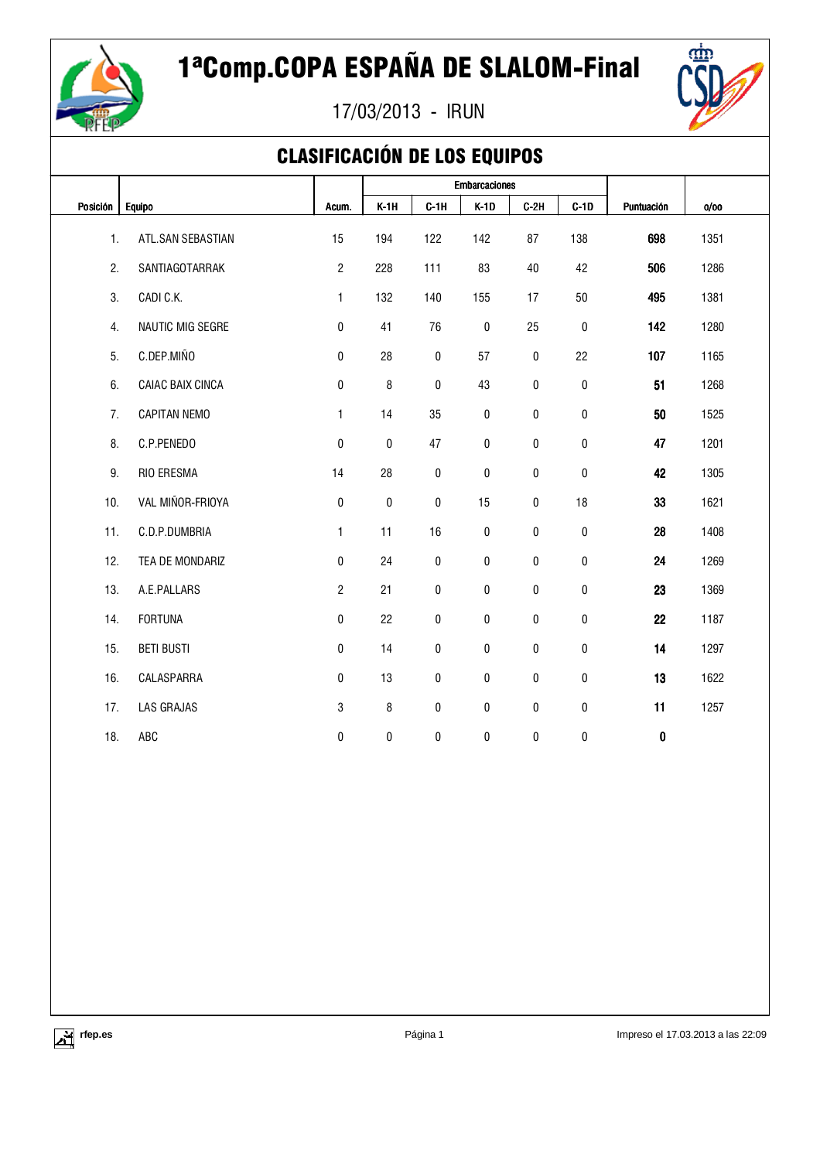



## CLASIFICACIÓN DE LOS EQUIPOS

|          |                     |                |        |           | <b>Embarcaciones</b> |           |              |            |      |  |
|----------|---------------------|----------------|--------|-----------|----------------------|-----------|--------------|------------|------|--|
| Posición | <b>Equipo</b>       | Acum.          | $K-1H$ | $C-1H$    | $K-1D$               | $C-2H$    | $C-1D$       | Puntuación | 0/00 |  |
| 1.       | ATL.SAN SEBASTIAN   | 15             | 194    | 122       | 142                  | 87        | 138          | 698        | 1351 |  |
| 2.       | SANTIAGOTARRAK      | $\overline{2}$ | 228    | 111       | 83                   | 40        | 42           | 506        | 1286 |  |
| 3.       | CADI C.K.           | $\mathbf{1}$   | 132    | 140       | 155                  | 17        | 50           | 495        | 1381 |  |
| 4.       | NAUTIC MIG SEGRE    | $\mathbf{0}$   | 41     | 76        | 0                    | 25        | $\mathbf{0}$ | 142        | 1280 |  |
| 5.       | C.DEP.MIÑO          | 0              | 28     | $\pmb{0}$ | 57                   | $\pmb{0}$ | 22           | 107        | 1165 |  |
| 6.       | CAIAC BAIX CINCA    | 0              | 8      | 0         | 43                   | 0         | $\pmb{0}$    | 51         | 1268 |  |
| 7.       | <b>CAPITAN NEMO</b> | 1              | 14     | 35        | 0                    | 0         | 0            | 50         | 1525 |  |
| 8.       | C.P.PENEDO          | 0              | 0      | 47        | 0                    | 0         | 0            | 47         | 1201 |  |
| 9.       | RIO ERESMA          | 14             | 28     | 0         | 0                    | 0         | $\mathbf{0}$ | 42         | 1305 |  |
| 10.      | VAL MIÑOR-FRIOYA    | $\pmb{0}$      | 0      | 0         | 15                   | 0         | 18           | 33         | 1621 |  |
| 11.      | C.D.P.DUMBRIA       | 1              | 11     | 16        | 0                    | 0         | $\pmb{0}$    | 28         | 1408 |  |
| 12.      | TEA DE MONDARIZ     | 0              | 24     | 0         | 0                    | $\pmb{0}$ | 0            | 24         | 1269 |  |
| 13.      | A.E.PALLARS         | $\overline{2}$ | 21     | 0         | 0                    | 0         | $\mathbf{0}$ | 23         | 1369 |  |
| 14.      | <b>FORTUNA</b>      | 0              | 22     | 0         | 0                    | 0         | $\mathbf{0}$ | 22         | 1187 |  |
| 15.      | <b>BETI BUSTI</b>   | 0              | 14     | 0         | 0                    | 0         | $\mathbf 0$  | 14         | 1297 |  |
| 16.      | CALASPARRA          | 0              | 13     | 0         | 0                    | 0         | $\mathbf{0}$ | 13         | 1622 |  |
| 17.      | LAS GRAJAS          | 3              | 8      | $\pmb{0}$ | 0                    | $\pmb{0}$ | $\pmb{0}$    | 11         | 1257 |  |
| 18.      | ABC                 | $\mathbf{0}$   | 0      | 0         | 0                    | 0         | 0            | $\pmb{0}$  |      |  |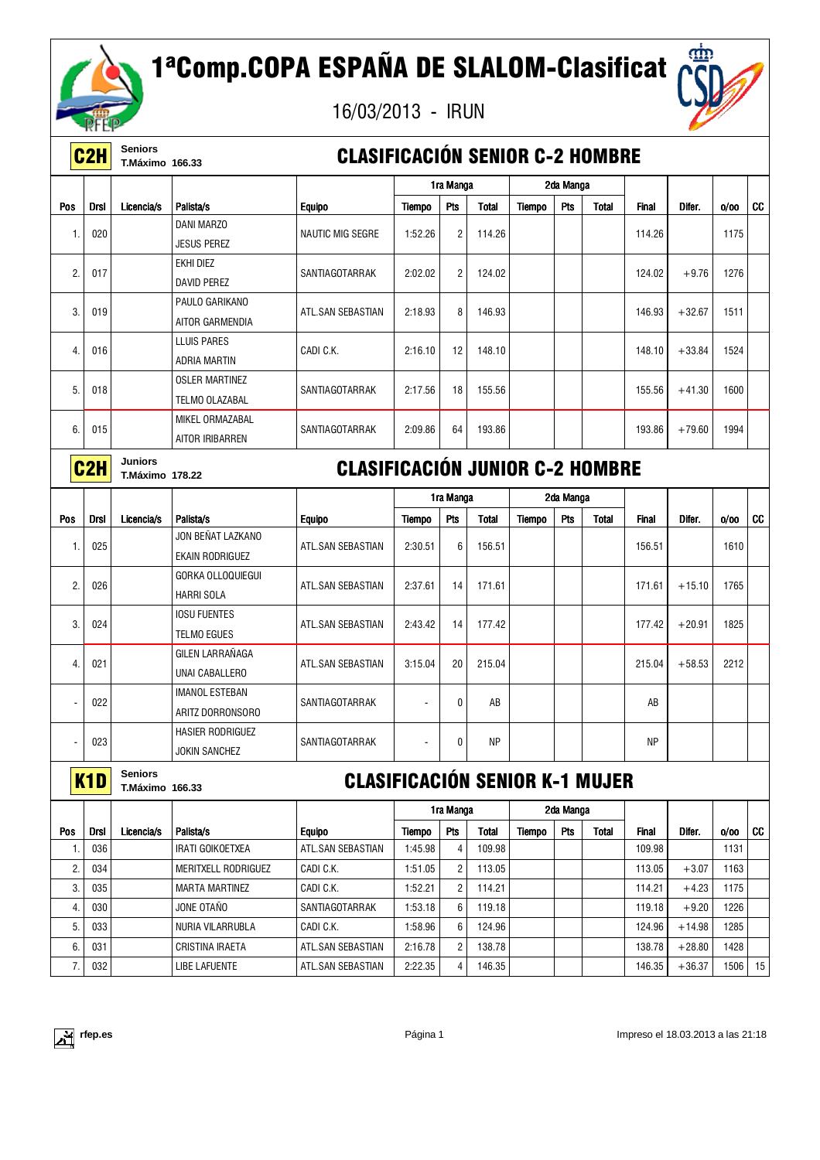

# 1ªComp.COPA ESPAÑA DE SLALOM-Clasificat

16/03/2013 - IRUN



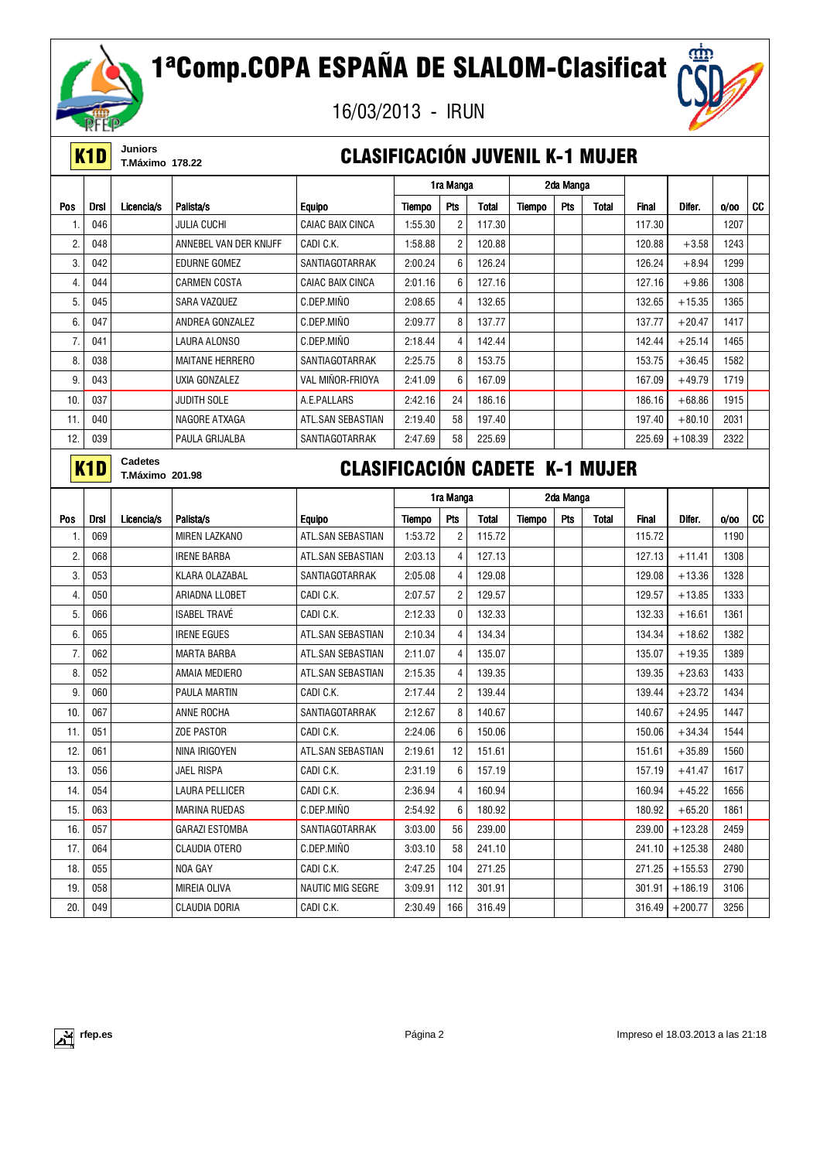



**K1D** Juniors<br>
T.Máximo 178.22

### **CLASIFICACIÓN JUVENIL K-1 MUJER**

|     |             |                        |                        |                                       |         | 1ra Manga       |              |               | 2da Manga |              |        |           |      |           |
|-----|-------------|------------------------|------------------------|---------------------------------------|---------|-----------------|--------------|---------------|-----------|--------------|--------|-----------|------|-----------|
| Pos | <b>Drsl</b> | Licencia/s             | Palista/s              | <b>Equipo</b>                         | Tiempo  | Pts             | <b>Total</b> | <b>Tiempo</b> | Pts       | Total        | Final  | Difer.    | 0/00 | <b>CC</b> |
| 1.  | 046         |                        | <b>JULIA CUCHI</b>     | <b>CAIAC BAIX CINCA</b>               | 1:55.30 | 2               | 117.30       |               |           |              | 117.30 |           | 1207 |           |
| 2.  | 048         |                        | ANNEBEL VAN DER KNIJFF | CADI C.K.                             | 1:58.88 | $\overline{2}$  | 120.88       |               |           |              | 120.88 | $+3.58$   | 1243 |           |
| 3.  | 042         |                        | <b>EDURNE GOMEZ</b>    | SANTIAGOTARRAK                        | 2:00.24 | 6               | 126.24       |               |           |              | 126.24 | $+8.94$   | 1299 |           |
| 4.  | 044         |                        | <b>CARMEN COSTA</b>    | CAIAC BAIX CINCA                      | 2:01.16 | 6               | 127.16       |               |           |              | 127.16 | $+9.86$   | 1308 |           |
| 5.  | 045         |                        | <b>SARA VAZQUEZ</b>    | C.DEP.MINO                            | 2:08.65 | $\overline{4}$  | 132.65       |               |           |              | 132.65 | $+15.35$  | 1365 |           |
| 6.  | 047         |                        | ANDREA GONZALEZ        | C.DEP.MIÑO                            | 2:09.77 | 8               | 137.77       |               |           |              | 137.77 | $+20.47$  | 1417 |           |
| 7.  | 041         |                        | LAURA ALONSO           | C.DEP.MIÑO                            | 2:18.44 | $\overline{4}$  | 142.44       |               |           |              | 142.44 | $+25.14$  | 1465 |           |
| 8.  | 038         |                        | <b>MAITANE HERRERO</b> | SANTIAGOTARRAK                        | 2:25.75 | 8               | 153.75       |               |           |              | 153.75 | $+36.45$  | 1582 |           |
| 9.  | 043         |                        | UXIA GONZALEZ          | VAL MIÑOR-FRIOYA                      | 2:41.09 | 6               | 167.09       |               |           |              | 167.09 | $+49.79$  | 1719 |           |
| 10. | 037         |                        | <b>JUDITH SOLE</b>     | A.E.PALLARS                           | 2:42.16 | 24              | 186.16       |               |           |              | 186.16 | $+68.86$  | 1915 |           |
| 11. | 040         |                        | NAGORE ATXAGA          | ATL.SAN SEBASTIAN                     | 2:19.40 | 58              | 197.40       |               |           |              | 197.40 | $+80.10$  | 2031 |           |
| 12. | 039         |                        | PAULA GRIJALBA         | SANTIAGOTARRAK                        | 2:47.69 | 58              | 225.69       |               |           |              | 225.69 | $+108.39$ | 2322 |           |
|     | K1D         | <b>Cadetes</b>         |                        | <b>CLASIFICACIÓN CADETE K-1 MUJER</b> |         |                 |              |               |           |              |        |           |      |           |
|     |             | <b>T.Máximo 201.98</b> |                        |                                       |         |                 |              |               |           |              |        |           |      |           |
|     |             |                        |                        |                                       |         | 1ra Manga       |              |               | 2da Manga |              |        |           |      |           |
| Pos | <b>Drsl</b> | Licencia/s             | Palista/s              | <b>Equipo</b>                         | Tiempo  | Pts             | <b>Total</b> | <b>Tiempo</b> | Pts       | <b>Total</b> | Final  | Difer.    | 0/00 | CC        |
| 1.  | 069         |                        | MIREN LAZKANO          | ATL.SAN SEBASTIAN                     | 1:53.72 | $\overline{2}$  | 115.72       |               |           |              | 115.72 |           | 1190 |           |
| 2.  | 068         |                        | <b>IRENE BARBA</b>     | ATL.SAN SEBASTIAN                     | 2:03.13 | $\overline{4}$  | 127.13       |               |           |              | 127.13 | $+11.41$  | 1308 |           |
| 3.  | 053         |                        | KLARA OLAZABAL         | SANTIAGOTARRAK                        | 2:05.08 | $\overline{4}$  | 129.08       |               |           |              | 129.08 | $+13.36$  | 1328 |           |
| 4.  | 050         |                        | ARIADNA LLOBET         | CADI C.K.                             | 2:07.57 | $\overline{2}$  | 129.57       |               |           |              | 129.57 | $+13.85$  | 1333 |           |
| 5.  | 066         |                        | <b>ISABEL TRAVÉ</b>    | CADI C.K.                             | 2:12.33 | $\mathbf{0}$    | 132.33       |               |           |              | 132.33 | $+16.61$  | 1361 |           |
| 6.  | 065         |                        | <b>IRENE EGUES</b>     | ATL.SAN SEBASTIAN                     | 2:10.34 | $\overline{4}$  | 134.34       |               |           |              | 134.34 | $+18.62$  | 1382 |           |
| 7.  | 062         |                        | <b>MARTA BARBA</b>     | ATL.SAN SEBASTIAN                     | 2:11.07 | $\overline{4}$  | 135.07       |               |           |              | 135.07 | $+19.35$  | 1389 |           |
| 8.  | 052         |                        | AMAIA MEDIERO          | ATL.SAN SEBASTIAN                     | 2:15.35 | $\overline{4}$  | 139.35       |               |           |              | 139.35 | $+23.63$  | 1433 |           |
| 9.  | 060         |                        | <b>PAULA MARTIN</b>    | CADI C.K.                             | 2:17.44 | $\overline{2}$  | 139.44       |               |           |              | 139.44 | $+23.72$  | 1434 |           |
| 10. | 067         |                        | ANNE ROCHA             | SANTIAGOTARRAK                        | 2:12.67 | 8               | 140.67       |               |           |              | 140.67 | $+24.95$  | 1447 |           |
| 11. | 051         |                        | <b>ZOE PASTOR</b>      | CADI C.K.                             | 2:24.06 | $6\phantom{1}6$ | 150.06       |               |           |              | 150.06 | $+34.34$  | 1544 |           |
| 12. | 061         |                        | NINA IRIGOYEN          | ATL.SAN SEBASTIAN                     | 2:19.61 | 12              | 151.61       |               |           |              | 151.61 | $+35.89$  | 1560 |           |
| 13. | 056         |                        | <b>JAEL RISPA</b>      | CADI C.K.                             | 2:31.19 | 6               | 157.19       |               |           |              | 157.19 | $+41.47$  | 1617 |           |
| 14. | 054         |                        | <b>LAURA PELLICER</b>  | CADI C.K.                             | 2:36.94 | $\overline{4}$  | 160.94       |               |           |              | 160.94 | $+45.22$  | 1656 |           |
| 15. | 063         |                        | <b>MARINA RUEDAS</b>   | C.DEP.MIÑO                            | 2:54.92 | 6               | 180.92       |               |           |              | 180.92 | $+65.20$  | 1861 |           |
| 16. | 057         |                        | <b>GARAZI ESTOMBA</b>  | SANTIAGOTARRAK                        | 3:03.00 | 56              | 239.00       |               |           |              | 239.00 | $+123.28$ | 2459 |           |

17. 064 CLAUDIA OTERO C.DEP.MIÑO 3:03.10 58 241.10 | 241.10 241.10 +125.38 2480 18. | 055 | | CADI C.K. | 2:47.25 | 104 | 271.25 | | | 271.25 | +155.53 | 2790 19. | 058 | | MIREIA OLIVA | NAUTIC MIG SEGRE | 3:09.91 | 112 | 301.91 | | | | 301.91 | +186.19 | 3106 20. 049 CLAUDIA DORIA CADI C.K. 2:30.49 166 316.49 316.49 316.49 316.49 316.49 316.49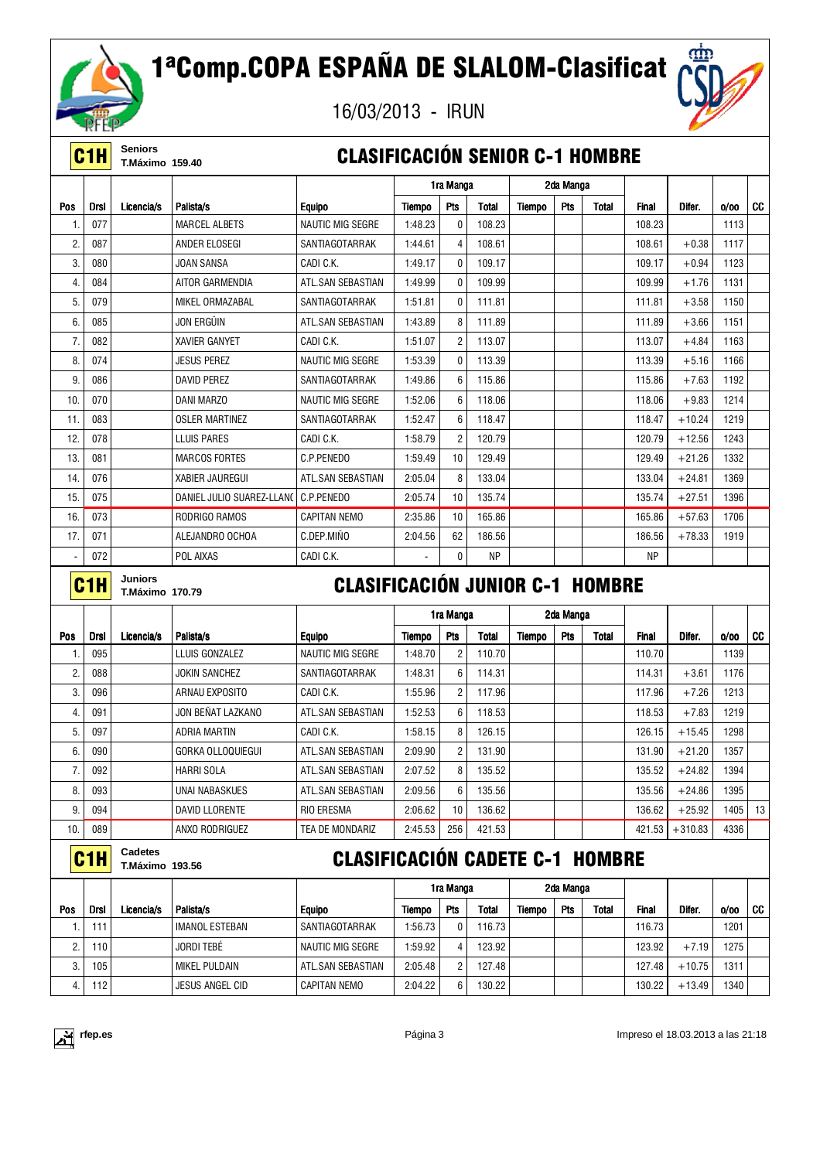

# 1ªComp.COPA ESPAÑA DE SLALOM-Clasificat

16/03/2013 - IRUN



**C1H** Seniors<br>
T.Máximo 159.40

### **CLASIFICACIÓN SENIOR C-1 HOMBRE**

|     |                  |                                   |                           |                                        |         | 1ra Manga      |              |        | 2da Manga |              |              |          |      |           |
|-----|------------------|-----------------------------------|---------------------------|----------------------------------------|---------|----------------|--------------|--------|-----------|--------------|--------------|----------|------|-----------|
| Pos | <b>Drsl</b>      | Licencia/s                        | Palista/s                 | <b>Equipo</b>                          | Tiempo  | Pts            | <b>Total</b> | Tiempo | Pts       | <b>Total</b> | <b>Final</b> | Difer.   | 0/00 | <b>CC</b> |
| 1.  | 077              |                                   | <b>MARCEL ALBETS</b>      | <b>NAUTIC MIG SEGRE</b>                | 1:48.23 | $\mathbf{0}$   | 108.23       |        |           |              | 108.23       |          | 1113 |           |
| 2.  | 087              |                                   | ANDER ELOSEGI             | SANTIAGOTARRAK                         | 1:44.61 | 4              | 108.61       |        |           |              | 108.61       | $+0.38$  | 1117 |           |
| 3.  | 080              |                                   | JOAN SANSA                | CADI C.K.                              | 1:49.17 | $\Omega$       | 109.17       |        |           |              | 109.17       | $+0.94$  | 1123 |           |
| 4.  | 084              |                                   | AITOR GARMENDIA           | ATL.SAN SEBASTIAN                      | 1:49.99 | $\mathbf{0}$   | 109.99       |        |           |              | 109.99       | $+1.76$  | 1131 |           |
| 5.  | 079              |                                   | MIKEL ORMAZABAL           | SANTIAGOTARRAK                         | 1:51.81 | $\mathbf{0}$   | 111.81       |        |           |              | 111.81       | $+3.58$  | 1150 |           |
| 6.  | 085              |                                   | JON ERGÜIN                | ATL.SAN SEBASTIAN                      | 1:43.89 | 8              | 111.89       |        |           |              | 111.89       | $+3.66$  | 1151 |           |
| 7.  | 082              |                                   | <b>XAVIER GANYET</b>      | CADI C.K.                              | 1:51.07 | $\overline{c}$ | 113.07       |        |           |              | 113.07       | $+4.84$  | 1163 |           |
| 8.  | 074              |                                   | <b>JESUS PEREZ</b>        | <b>NAUTIC MIG SEGRE</b>                | 1:53.39 | $\Omega$       | 113.39       |        |           |              | 113.39       | $+5.16$  | 1166 |           |
| 9.  | 086              |                                   | <b>DAVID PEREZ</b>        | SANTIAGOTARRAK                         | 1:49.86 | 6              | 115.86       |        |           |              | 115.86       | $+7.63$  | 1192 |           |
| 10. | 070              |                                   | DANI MARZO                | <b>NAUTIC MIG SEGRE</b>                | 1:52.06 | 6              | 118.06       |        |           |              | 118.06       | $+9.83$  | 1214 |           |
| 11. | 083              |                                   | <b>OSLER MARTINEZ</b>     | SANTIAGOTARRAK                         | 1:52.47 | 6              | 118.47       |        |           |              | 118.47       | $+10.24$ | 1219 |           |
| 12. | 078              |                                   | LLUIS PARES               | CADI C.K.                              | 1:58.79 | $\overline{2}$ | 120.79       |        |           |              | 120.79       | $+12.56$ | 1243 |           |
| 13. | 081              |                                   | <b>MARCOS FORTES</b>      | C.P.PENEDO                             | 1:59.49 | 10             | 129.49       |        |           |              | 129.49       | $+21.26$ | 1332 |           |
| 14. | 076              |                                   | <b>XABIER JAUREGUI</b>    | ATL.SAN SEBASTIAN                      | 2:05.04 | 8              | 133.04       |        |           |              | 133.04       | $+24.81$ | 1369 |           |
| 15. | 075              |                                   | DANIEL JULIO SUAREZ-LLANO | C.P.PENEDO                             | 2:05.74 | 10             | 135.74       |        |           |              | 135.74       | $+27.51$ | 1396 |           |
| 16. | 073              |                                   | RODRIGO RAMOS             | <b>CAPITAN NEMO</b>                    | 2:35.86 | 10             | 165.86       |        |           |              | 165.86       | $+57.63$ | 1706 |           |
| 17. | 071              |                                   | ALEJANDRO OCHOA           | C.DEP.MIÑO                             | 2:04.56 | 62             | 186.56       |        |           |              | 186.56       | $+78.33$ | 1919 |           |
|     | 072              |                                   | POL AIXAS                 | CADI C.K.                              |         | $\mathbf{0}$   | <b>NP</b>    |        |           |              | <b>NP</b>    |          |      |           |
|     | C <sub>1</sub> H | <b>Juniors</b><br>T.Máximo 170.79 |                           | <b>CLASIFICACIÓN JUNIOR C-1 HOMBRE</b> |         |                |              |        |           |              |              |          |      |           |

|     |             |            |                       |                   |         | 1ra Manga       |        |        | 2da Manga |              |              |           |      |    |
|-----|-------------|------------|-----------------------|-------------------|---------|-----------------|--------|--------|-----------|--------------|--------------|-----------|------|----|
| Pos | <b>Drsl</b> | Licencia/s | Palista/s             | <b>Equipo</b>     | Tiempo  | Pts             | Total  | Tiempo | Pts       | <b>Total</b> | <b>Final</b> | Difer.    | 0/00 | CC |
| 1.  | 095         |            | LLUIS GONZALEZ        | NAUTIC MIG SEGRE  | 1:48.70 | 2               | 110.70 |        |           |              | 110.70       |           | 1139 |    |
| 2.  | 088         |            | <b>JOKIN SANCHEZ</b>  | SANTIAGOTARRAK    | 1:48.31 | 6               | 114.31 |        |           |              | 114.31       | $+3.61$   | 1176 |    |
| 3.  | 096         |            | ARNAU EXPOSITO        | CADI C.K.         | 1:55.96 | $\overline{2}$  | 117.96 |        |           |              | 117.96       | $+7.26$   | 1213 |    |
| 4.  | 091         |            | JON BEÑAT LAZKANO     | ATL.SAN SEBASTIAN | 1:52.53 | 6               | 118.53 |        |           |              | 118.53       | $+7.83$   | 1219 |    |
| 5.  | 097         |            | <b>ADRIA MARTIN</b>   | CADI C.K.         | 1:58.15 | 8               | 126.15 |        |           |              | 126.15       | $+15.45$  | 1298 |    |
| 6.  | 090         |            | GORKA OLLOQUIEGUI     | ATL.SAN SEBASTIAN | 2:09.90 | $\overline{2}$  | 131.90 |        |           |              | 131.90       | $+21.20$  | 1357 |    |
| 7.  | 092         |            | HARRI SOLA            | ATL.SAN SEBASTIAN | 2:07.52 | 8               | 135.52 |        |           |              | 135.52       | $+24.82$  | 1394 |    |
| 8.  | 093         |            | UNAI NABASKUES        | ATL.SAN SEBASTIAN | 2:09.56 | 6               | 135.56 |        |           |              | 135.56       | $+24.86$  | 1395 |    |
| 9.  | 094         |            | <b>DAVID LLORENTE</b> | <b>RIO ERESMA</b> | 2:06.62 | 10 <sup>°</sup> | 136.62 |        |           |              | 136.62       | $+25.92$  | 1405 | 13 |
| 10. | 089         |            | ANXO RODRIGUEZ        | TEA DE MONDARIZ   | 2:45.53 | 256             | 421.53 |        |           |              | 421.53       | $+310.83$ | 4336 |    |
|     |             |            |                       |                   |         |                 |        |        |           |              |              |           |      |    |

**C1H** Cadetes<br>
T.Máximo 193.56

## **CLASIFICACIÓN CADETE C-1 HOMBRE**

|         |      |            |                        |                   |         | 1ra Manga    |              |        | 2da Manga  |              |              |          |      |    |
|---------|------|------------|------------------------|-------------------|---------|--------------|--------------|--------|------------|--------------|--------------|----------|------|----|
| Pos     | Drsl | .icencia/s | Palista/s              | <b>Equipo</b>     | Tiempo  | <b>Pts</b>   | <b>Total</b> | Tiempo | <b>Pts</b> | <b>Total</b> | <b>Final</b> | Difer.   | 0/00 | CC |
|         | 111  |            | <b>IMANOL ESTEBAN</b>  | SANTIAGOTARRAK    | 1:56.73 | $\mathbf{0}$ | 116.73       |        |            |              | 116.73       |          | 1201 |    |
|         | 110  |            | JORDI TEBÉ             | NAUTIC MIG SEGRE  | 1:59.92 | 4            | 123.92       |        |            |              | 123.92       | $+7.19$  | 1275 |    |
| ŋ<br>ა. | 105  |            | MIKEL PULDAIN          | ATL.SAN SEBASTIAN | 2:05.48 | 2            | 127.48       |        |            |              | 127.48       | $+10.75$ | 1311 |    |
|         | 112  |            | <b>JESUS ANGEL CID</b> | CAPITAN NEMO      | 2:04.22 | 6            | 130.22       |        |            |              | 130.22       | $+13.49$ | 1340 |    |

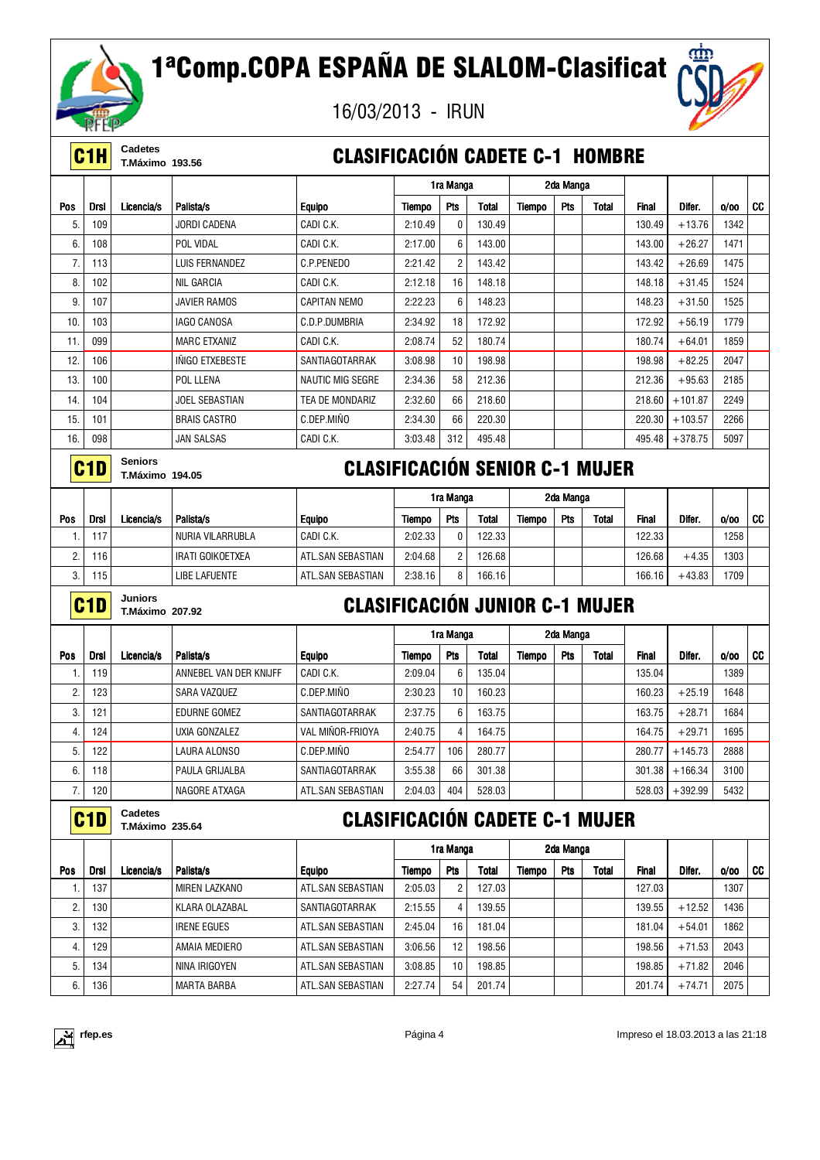

|     | אנו דאר<br>C <sub>1</sub> H | Cadetes                                  |                         | <b>CLASIFICACIÓN CADETE C-1 HOMBRE</b> |                                       |                |              |        |            |       |              |                  |      |           |
|-----|-----------------------------|------------------------------------------|-------------------------|----------------------------------------|---------------------------------------|----------------|--------------|--------|------------|-------|--------------|------------------|------|-----------|
|     |                             | <b>T.Máximo 193.56</b>                   |                         |                                        |                                       | 1ra Manga      |              |        | 2da Manga  |       |              |                  |      |           |
| Pos | <b>Drsl</b>                 | Licencia/s                               | Palista/s               | <b>Equipo</b>                          | Tiempo                                | Pts            | <b>Total</b> | Tiempo | Pts        | Total | <b>Final</b> | Difer.           | 0/00 | CC        |
| 5.  | 109                         |                                          | JORDI CADENA            | CADI C.K.                              | 2:10.49                               | 0              | 130.49       |        |            |       | 130.49       | $+13.76$         | 1342 |           |
| 6.  | 108                         |                                          | POL VIDAL               | CADI C.K.                              | 2:17.00                               | 6              | 143.00       |        |            |       | 143.00       | $+26.27$         | 1471 |           |
| 7.  | 113                         |                                          | LUIS FERNANDEZ          | C.P.PENEDO                             | 2:21.42                               | $\overline{c}$ | 143.42       |        |            |       | 143.42       | $+26.69$         | 1475 |           |
| 8.  | 102                         |                                          | <b>NIL GARCIA</b>       | CADI C.K.                              | 2:12.18                               | 16             | 148.18       |        |            |       | 148.18       | $+31.45$         | 1524 |           |
| 9.  | 107                         |                                          | <b>JAVIER RAMOS</b>     | <b>CAPITAN NEMO</b>                    | 2:22.23                               | 6              | 148.23       |        |            |       | 148.23       | $+31.50$         | 1525 |           |
| 10. | 103                         |                                          | <b>IAGO CANOSA</b>      | C.D.P.DUMBRIA                          | 2:34.92                               | 18             | 172.92       |        |            |       | 172.92       | $+56.19$         | 1779 |           |
| 11. | 099                         |                                          | <b>MARC ETXANIZ</b>     | CADI C.K.                              | 2:08.74                               | 52             | 180.74       |        |            |       | 180.74       | $+64.01$         | 1859 |           |
| 12. | 106                         |                                          | <b>INIGO ETXEBESTE</b>  | SANTIAGOTARRAK                         | 3:08.98                               | 10             | 198.98       |        |            |       | 198.98       | $+82.25$         | 2047 |           |
| 13. | 100                         |                                          | POL LLENA               | <b>NAUTIC MIG SEGRE</b>                | 2:34.36                               | 58             | 212.36       |        |            |       | 212.36       | $+95.63$         | 2185 |           |
| 14. | 104                         |                                          | <b>JOEL SEBASTIAN</b>   | TEA DE MONDARIZ                        | 2:32.60                               | 66             | 218.60       |        |            |       | 218.60       | $+101.87$        | 2249 |           |
| 15. | 101                         |                                          | <b>BRAIS CASTRO</b>     | C.DEP.MIÑO                             | 2:34.30                               | 66             | 220.30       |        |            |       | 220.30       | $+103.57$        | 2266 |           |
| 16. | 098                         |                                          | <b>JAN SALSAS</b>       | CADI C.K.                              | 3:03.48                               | 312            | 495.48       |        |            |       | 495.48       | $+378.75$        | 5097 |           |
|     | C <sub>1</sub> D            | <b>Seniors</b><br><b>T.Máximo 194.05</b> |                         |                                        | <b>CLASIFICACIÓN SENIOR C-1 MUJER</b> |                |              |        |            |       |              |                  |      |           |
|     |                             |                                          |                         |                                        |                                       | 1ra Manga      |              |        | 2da Manga  |       |              |                  |      |           |
| Pos | <b>Drsl</b>                 | Licencia/s                               | Palista/s               | <b>Equipo</b>                          | Tiempo                                | Pts            | <b>Total</b> | Tiempo | Pts        | Total | Final        | Difer.           | 0/00 | CC        |
| 1.  | 117                         |                                          | <b>NURIA VILARRUBLA</b> | CADI C.K.                              | 2:02.33                               | 0              | 122.33       |        |            |       | 122.33       |                  | 1258 |           |
| 2.  | 116                         |                                          | <b>IRATI GOIKOETXEA</b> | ATL.SAN SEBASTIAN                      | 2:04.68                               | $\overline{c}$ | 126.68       |        |            |       | 126.68       | $+4.35$          | 1303 |           |
| 3.  | 115                         |                                          | <b>LIBE LAFUENTE</b>    | ATL.SAN SEBASTIAN                      | 2:38.16                               | 8              | 166.16       |        |            |       | 166.16       | $+43.83$         | 1709 |           |
|     | C <sub>1</sub> D            | <b>Juniors</b><br><b>T.Máximo 207.92</b> |                         | <b>CLASIFICACIÓN JUNIOR C-1 MUJER</b>  |                                       |                |              |        |            |       |              |                  |      |           |
|     |                             |                                          |                         |                                        |                                       | 1ra Manga      |              |        | 2da Manga  |       |              |                  |      |           |
| Pos | <b>Drsl</b>                 | Licencia/s                               | Palista/s               | <b>Equipo</b>                          | Tiempo                                | Pts            | Total        | Tiempo | Pts        | Total | <b>Final</b> | Difer.           | 0/00 | <b>CC</b> |
| 1.  | 119                         |                                          | ANNEBEL VAN DER KNIJFF  | CADI C.K.                              | 2:09.04                               | 6              | 135.04       |        |            |       | 135.04       |                  | 1389 |           |
| 2.  | 123                         |                                          | SARA VAZQUEZ            | C.DEP.MINO                             | 2:30.23                               | 10             | 160.23       |        |            |       | 160.23       | $+25.19$         | 1648 |           |
| 3.  | 121                         |                                          | EDURNE GOMEZ            | SANTIAGOTARRAK                         | 2:37.75                               | 6              | 163.75       |        |            |       | 163.75       | $+28.71$         | 1684 |           |
| 4.  | 124                         |                                          | UXIA GONZALEZ           | VAL MINOR-FRIOYA                       | 2:40.75                               |                | 164.75       |        |            |       | 164.75       | $+29.71$         | 1695 |           |
| 5.  | 122                         |                                          | LAURA ALONSO            | C.DEP.MINO                             | 2:54.77                               | 106            | 280.77       |        |            |       |              | 280.77   +145.73 | 2888 |           |
| 6.  | 118                         |                                          | PAULA GRIJALBA          | SANTIAGOTARRAK                         | 3:55.38                               | 66             | 301.38       |        |            |       | 301.38       | $+166.34$        | 3100 |           |
| 7.  | 120                         |                                          | NAGORE ATXAGA           | ATL.SAN SEBASTIAN                      | 2:04.03                               | 404            | 528.03       |        |            |       | 528.03       | $+392.99$        | 5432 |           |
|     | C <sub>1</sub> D            | Cadetes<br><b>T.Máximo 235.64</b>        |                         | <b>CLASIFICACIÓN CADETE C-1 MUJER</b>  |                                       |                |              |        |            |       |              |                  |      |           |
|     |                             |                                          |                         |                                        |                                       | 1ra Manga      |              |        | 2da Manga  |       |              |                  |      |           |
| Pos | <b>Drsl</b>                 | Licencia/s                               | Palista/s               | <b>Equipo</b>                          | <b>Tiempo</b>                         | Pts            | <b>Total</b> | Tiempo | <b>Pts</b> | Total | <b>Final</b> | Difer.           | 0/00 | <b>CC</b> |
| 1.  | 137                         |                                          | MIREN LAZKANO           | ATL.SAN SEBASTIAN                      | 2:05.03                               | 2              | 127.03       |        |            |       | 127.03       |                  | 1307 |           |
| 2.  | 130                         |                                          | KLARA OLAZABAL          | SANTIAGOTARRAK                         | 2:15.55                               | 4              | 139.55       |        |            |       | 139.55       | $+12.52$         | 1436 |           |
| 3.  | 132                         |                                          | <b>IRENE EGUES</b>      | ATL.SAN SEBASTIAN                      | 2:45.04                               | 16             | 181.04       |        |            |       | 181.04       | $+54.01$         | 1862 |           |
| 4.  | 129                         |                                          | AMAIA MEDIERO           | ATL.SAN SEBASTIAN                      | 3:06.56                               | 12             | 198.56       |        |            |       | 198.56       | $+71.53$         | 2043 |           |
| 5.  | 134                         |                                          | NINA IRIGOYEN           | ATL.SAN SEBASTIAN                      | 3:08.85                               | 10             | 198.85       |        |            |       | 198.85       | $+71.82$         | 2046 |           |
| 6.  | 136                         |                                          | <b>MARTA BARBA</b>      | ATL.SAN SEBASTIAN                      | 2:27.74                               | 54             | 201.74       |        |            |       | 201.74       | $+74.71$         | 2075 |           |



αm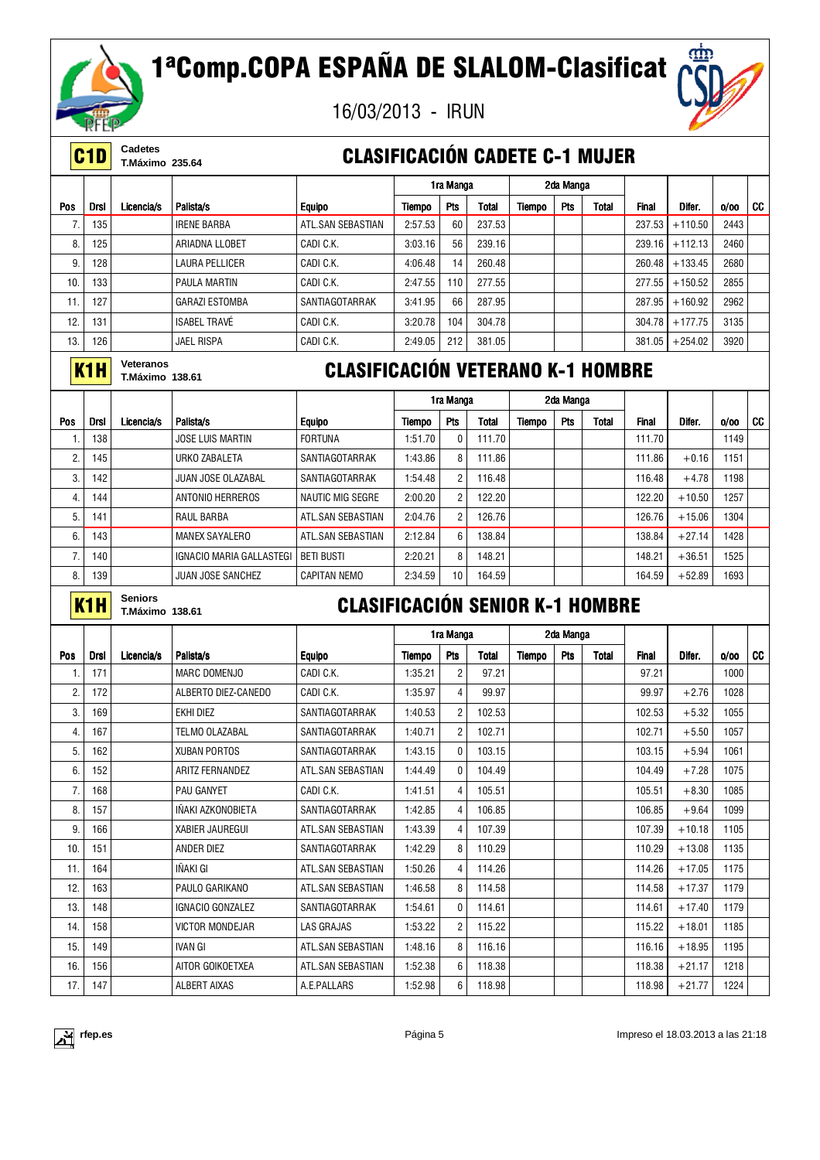



**C1D** Cadetes<br>
T.Máximo 235.64

### **CLASIFICACIÓN CADETE C-1 MUJER**

|            |                                                         |            |                       |                                          |         | 1ra Manga |        |        | 2da Manga  |       |              |           |      |    |
|------------|---------------------------------------------------------|------------|-----------------------|------------------------------------------|---------|-----------|--------|--------|------------|-------|--------------|-----------|------|----|
| <b>Pos</b> | <b>Drsl</b>                                             | Licencia/s | Palista/s             | <b>Equipo</b>                            | Tiempo  | Pts       | Total  | Tiempo | <b>Pts</b> | Total | <b>Final</b> | Difer.    | 0/00 | CC |
| 7.         | 135                                                     |            | <b>IRENE BARBA</b>    | ATL.SAN SEBASTIAN                        | 2:57.53 | 60        | 237.53 |        |            |       | 237.53       | $+110.50$ | 2443 |    |
| 8.         | 125                                                     |            | ARIADNA LLOBET        | CADI C.K.                                | 3:03.16 | 56        | 239.16 |        |            |       | 239.16       | $+112.13$ | 2460 |    |
| 9.         | 128                                                     |            | <b>LAURA PELLICER</b> | CADI C.K.                                | 4:06.48 | 14        | 260.48 |        |            |       | 260.48       | $+133.45$ | 2680 |    |
| 10.        | 133                                                     |            | <b>PAULA MARTIN</b>   | CADI C.K.                                | 2:47.55 | 110       | 277.55 |        |            |       | 277.55       | $+150.52$ | 2855 |    |
| 11.        | 127                                                     |            | <b>GARAZI ESTOMBA</b> | SANTIAGOTARRAK                           | 3:41.95 | 66        | 287.95 |        |            |       | 287.95       | $+160.92$ | 2962 |    |
| 12.        | 131                                                     |            | <b>ISABEL TRAVÉ</b>   | CADI C.K.                                | 3:20.78 | 104       | 304.78 |        |            |       | 304.78       | $+177.75$ | 3135 |    |
| 13.        | 126                                                     |            | <b>JAEL RISPA</b>     | CADI C.K.                                | 2:49.05 | 212       | 381.05 |        |            |       | 381.05       | $+254.02$ | 3920 |    |
|            | Veteranos<br>K <sub>1</sub> H<br><b>T.Máximo 138.61</b> |            |                       | <b>CLASIFICACIÓN VETERANO K-1 HOMBRE</b> |         |           |        |        |            |       |              |           |      |    |

|     |      |            |                          |                     |         | 1ra Manga  |        |        | 2da Manga  |       |        |          |      |    |
|-----|------|------------|--------------------------|---------------------|---------|------------|--------|--------|------------|-------|--------|----------|------|----|
| Pos | Drsl | Licencia/s | Palista/s                | <b>Equipo</b>       | Tiempo  | <b>Pts</b> | Total  | Tiempo | <b>Pts</b> | Total | Final  | Difer.   | 0/00 | CC |
|     | 138  |            | <b>JOSE LUIS MARTIN</b>  | <b>FORTUNA</b>      | 1:51.70 | 0          | 111.70 |        |            |       | 111.70 |          | 1149 |    |
| 2.  | 145  |            | URKO ZABALETA            | SANTIAGOTARRAK      | :43.86  | 8          | 111.86 |        |            |       | 111.86 | $+0.16$  | 1151 |    |
| 3.  | 142  |            | JUAN JOSE OLAZABAL       | SANTIAGOTARRAK      | 1:54.48 | 2          | 116.48 |        |            |       | 116.48 | $+4.78$  | 1198 |    |
| 4.  | 144  |            | ANTONIO HERREROS         | NAUTIC MIG SEGRE    | 2:00.20 | 2          | 122.20 |        |            |       | 122.20 | $+10.50$ | 1257 |    |
| 5.  | 141  |            | RAUL BARBA               | ATL.SAN SEBASTIAN   | 2:04.76 | 2          | 126.76 |        |            |       | 126.76 | $+15.06$ | 1304 |    |
| 6.  | 143  |            | MANEX SAYALERO           | ATL.SAN SEBASTIAN   | 2:12.84 | 6          | 138.84 |        |            |       | 138.84 | $+27.14$ | 1428 |    |
|     | 140  |            | IGNACIO MARIA GALLASTEGI | i beti busti        | 2:20.21 | 8          | 148.21 |        |            |       | 148.21 | $+36.51$ | 1525 |    |
| 8.  | 139  |            | <b>JUAN JOSE SANCHEZ</b> | <b>CAPITAN NEMO</b> | 2:34.59 | 10         | 164.59 |        |            |       | 164.59 | $+52.89$ | 1693 |    |

**K1H** Seniors<br>
T.Máximo 138.61

## **CLASIFICACIÓN SENIOR K-1 HOMBRE**

|                  |             |            |                        |                       |         | 1ra Manga      |        |        | 2da Manga  |       |              |          |      |           |
|------------------|-------------|------------|------------------------|-----------------------|---------|----------------|--------|--------|------------|-------|--------------|----------|------|-----------|
| Pos              | <b>Drsl</b> | Licencia/s | Palista/s              | <b>Equipo</b>         | Tiempo  | Pts            | Total  | Tiempo | <b>Pts</b> | Total | <b>Final</b> | Difer.   | 0/00 | <b>CC</b> |
| 1.               | 171         |            | MARC DOMENJO           | CADI C.K.             | 1:35.21 | $\overline{c}$ | 97.21  |        |            |       | 97.21        |          | 1000 |           |
| $\mathbf{2}$     | 172         |            | ALBERTO DIEZ-CANEDO    | CADI C.K.             | 1:35.97 | 4              | 99.97  |        |            |       | 99.97        | $+2.76$  | 1028 |           |
| 3.               | 169         |            | EKHI DIEZ              | SANTIAGOTARRAK        | 1:40.53 | $\overline{2}$ | 102.53 |        |            |       | 102.53       | $+5.32$  | 1055 |           |
| 4.               | 167         |            | TELMO OLAZABAL         | <b>SANTIAGOTARRAK</b> | 1:40.71 | $\overline{2}$ | 102.71 |        |            |       | 102.71       | $+5.50$  | 1057 |           |
| 5.               | 162         |            | <b>XUBAN PORTOS</b>    | <b>SANTIAGOTARRAK</b> | 1:43.15 | 0              | 103.15 |        |            |       | 103.15       | $+5.94$  | 1061 |           |
| 6.               | 152         |            | <b>ARITZ FERNANDEZ</b> | ATL.SAN SEBASTIAN     | 1:44.49 | 0              | 104.49 |        |            |       | 104.49       | $+7.28$  | 1075 |           |
| $\overline{7}$ . | 168         |            | <b>PAU GANYET</b>      | CADI C.K.             | 1:41.51 | 4              | 105.51 |        |            |       | 105.51       | $+8.30$  | 1085 |           |
| 8.               | 157         |            | INAKI AZKONOBIETA      | SANTIAGOTARRAK        | 1:42.85 | 4              | 106.85 |        |            |       | 106.85       | $+9.64$  | 1099 |           |
| 9.               | 166         |            | <b>XABIER JAUREGUI</b> | ATL.SAN SEBASTIAN     | 1:43.39 | $\overline{4}$ | 107.39 |        |            |       | 107.39       | $+10.18$ | 1105 |           |
| 10.              | 151         |            | <b>ANDER DIEZ</b>      | SANTIAGOTARRAK        | 1:42.29 | 8              | 110.29 |        |            |       | 110.29       | $+13.08$ | 1135 |           |
| 11.              | 164         |            | IÑAKI GI               | ATL.SAN SEBASTIAN     | 1:50.26 | 4              | 114.26 |        |            |       | 114.26       | $+17.05$ | 1175 |           |
| 12.              | 163         |            | PAULO GARIKANO         | ATL.SAN SEBASTIAN     | 1:46.58 | 8              | 114.58 |        |            |       | 114.58       | $+17.37$ | 1179 |           |
| 13.              | 148         |            | IGNACIO GONZALEZ       | SANTIAGOTARRAK        | 1:54.61 | 0              | 114.61 |        |            |       | 114.61       | $+17.40$ | 1179 |           |
| 14.              | 158         |            | <b>VICTOR MONDEJAR</b> | LAS GRAJAS            | 1:53.22 | $\overline{2}$ | 115.22 |        |            |       | 115.22       | $+18.01$ | 1185 |           |
| 15.              | 149         |            | <b>IVAN GI</b>         | ATL.SAN SEBASTIAN     | 1:48.16 | 8              | 116.16 |        |            |       | 116.16       | $+18.95$ | 1195 |           |
| 16.              | 156         |            | AITOR GOIKOETXEA       | ATL.SAN SEBASTIAN     | 1:52.38 | 6              | 118.38 |        |            |       | 118.38       | $+21.17$ | 1218 |           |
| 17.              | 147         |            | <b>ALBERT AIXAS</b>    | A.E.PALLARS           | 1:52.98 | 6              | 118.98 |        |            |       | 118.98       | $+21.77$ | 1224 |           |

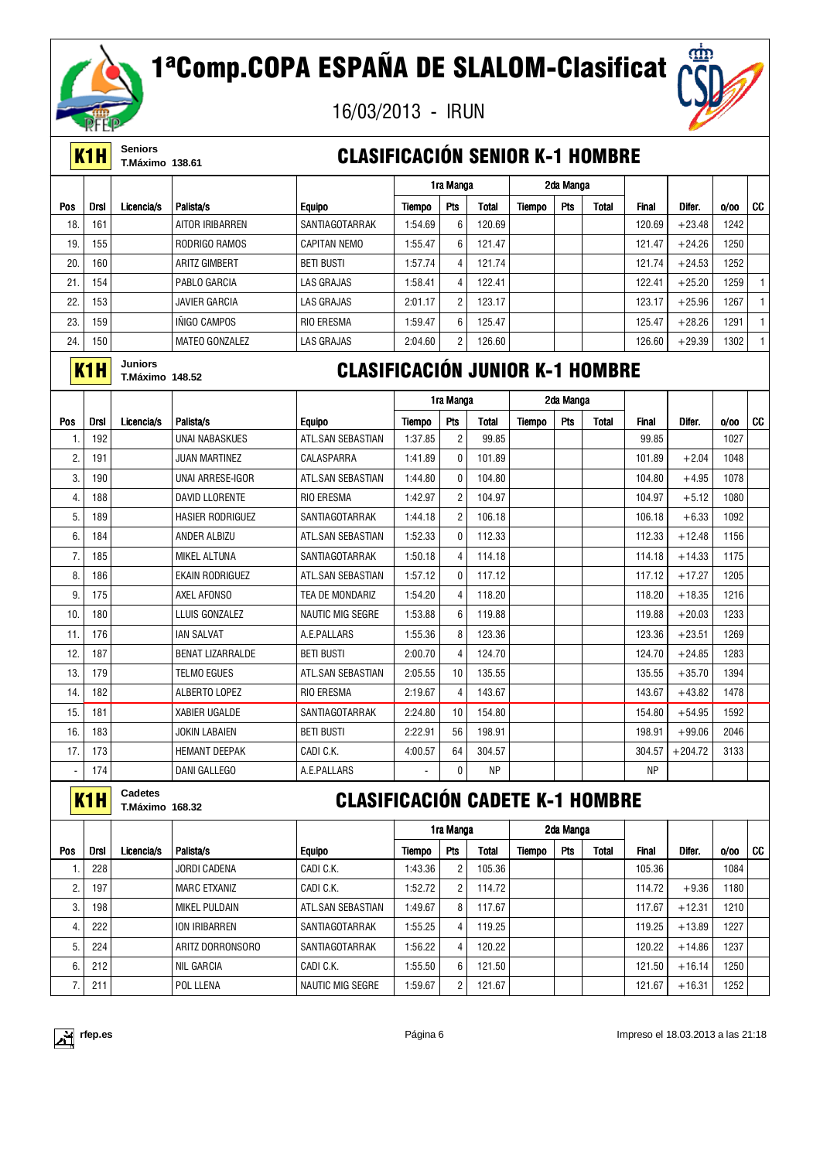



**K1H** Seniors<br>**K1H** T.Máximo 138.61

### **CLASIFICACIÓN SENIOR K-1 HOMBRE**

|                 |                  |                                          |                         |                                        |               | 1ra Manga       |              |        | 2da Manga |              |              |           |      |              |
|-----------------|------------------|------------------------------------------|-------------------------|----------------------------------------|---------------|-----------------|--------------|--------|-----------|--------------|--------------|-----------|------|--------------|
| Pos             | <b>Drsl</b>      | Licencia/s                               | Palista/s               | <b>Equipo</b>                          | Tiempo        | Pts             | <b>Total</b> | Tiempo | Pts       | Total        | <b>Final</b> | Difer.    | 0/00 | CC           |
| 18              | 161              |                                          | AITOR IRIBARREN         | SANTIAGOTARRAK                         | 1:54.69       | 6               | 120.69       |        |           |              | 120.69       | $+23.48$  | 1242 |              |
| 19.             | 155              |                                          | RODRIGO RAMOS           | <b>CAPITAN NEMO</b>                    | 1:55.47       | $6\phantom{1}6$ | 121.47       |        |           |              | 121.47       | $+24.26$  | 1250 |              |
| 20              | 160              |                                          | <b>ARITZ GIMBERT</b>    | <b>BETI BUSTI</b>                      | 1:57.74       | 4               | 121.74       |        |           |              | 121.74       | $+24.53$  | 1252 |              |
| 21              | 154              |                                          | PABLO GARCIA            | <b>LAS GRAJAS</b>                      | 1:58.41       | $\overline{4}$  | 122.41       |        |           |              | 122.41       | $+25.20$  | 1259 | $\mathbf{1}$ |
| 22              | 153              |                                          | <b>JAVIER GARCIA</b>    | <b>LAS GRAJAS</b>                      | 2:01.17       | $\overline{2}$  | 123.17       |        |           |              | 123.17       | $+25.96$  | 1267 | $\mathbf{1}$ |
| 23.             | 159              |                                          | <b>INIGO CAMPOS</b>     | <b>RIO ERESMA</b>                      | 1:59.47       | 6               | 125.47       |        |           |              | 125.47       | $+28.26$  | 1291 | $\mathbf{1}$ |
| 24.             | 150              |                                          | <b>MATEO GONZALEZ</b>   | <b>LAS GRAJAS</b>                      | 2:04.60       | $\overline{2}$  | 126.60       |        |           |              | 126.60       | $+29.39$  | 1302 | $\mathbf{1}$ |
|                 | K <sub>1</sub> H | <b>Juniors</b><br><b>T.Máximo 148.52</b> |                         | <b>CLASIFICACIÓN JUNIOR K-1 HOMBRE</b> |               |                 |              |        |           |              |              |           |      |              |
|                 |                  |                                          |                         |                                        |               | 1ra Manga       |              |        | 2da Manga |              |              |           |      |              |
| Pos             | Drsl             | Licencia/s                               | Palista/s               | <b>Equipo</b>                          | <b>Tiempo</b> | Pts             | <b>Total</b> | Tiempo | Pts       | <b>Total</b> | <b>Final</b> | Difer.    | 0/00 | CC           |
| 1.              | 192              |                                          | <b>UNAI NABASKUES</b>   | ATL.SAN SEBASTIAN                      | 1:37.85       | $\overline{2}$  | 99.85        |        |           |              | 99.85        |           | 1027 |              |
| $\overline{2}$  | 191              |                                          | <b>JUAN MARTINEZ</b>    | CALASPARRA                             | 1:41.89       | $\mathbf{0}$    | 101.89       |        |           |              | 101.89       | $+2.04$   | 1048 |              |
| 3.              | 190              |                                          | UNAI ARRESE-IGOR        | ATL.SAN SEBASTIAN                      | 1:44.80       | $\Omega$        | 104.80       |        |           |              | 104.80       | $+4.95$   | 1078 |              |
| 4.              | 188              |                                          | DAVID LLORENTE          | <b>RIO ERESMA</b>                      | 1:42.97       | $\overline{2}$  | 104.97       |        |           |              | 104.97       | $+5.12$   | 1080 |              |
| 5.              | 189              |                                          | <b>HASIER RODRIGUEZ</b> | SANTIAGOTARRAK                         | 1:44.18       | $\overline{2}$  | 106.18       |        |           |              | 106.18       | $+6.33$   | 1092 |              |
| 6.              | 184              |                                          | ANDER ALBIZU            | ATL.SAN SEBASTIAN                      | 1:52.33       | $\mathbf{0}$    | 112.33       |        |           |              | 112.33       | $+12.48$  | 1156 |              |
| $\overline{7}$  | 185              |                                          | <b>MIKEL ALTUNA</b>     | SANTIAGOTARRAK                         | 1:50.18       | $\overline{4}$  | 114.18       |        |           |              | 114.18       | $+14.33$  | 1175 |              |
| 8.              | 186              |                                          | EKAIN RODRIGUEZ         | ATL.SAN SEBASTIAN                      | 1:57.12       | $\mathbf{0}$    | 117.12       |        |           |              | 117.12       | $+17.27$  | 1205 |              |
| 9               | 175              |                                          | <b>AXEL AFONSO</b>      | TEA DE MONDARIZ                        | 1:54.20       | $\overline{4}$  | 118.20       |        |           |              | 118.20       | $+18.35$  | 1216 |              |
| 10 <sub>1</sub> | 180              |                                          | LLUIS GONZALEZ          | <b>NAUTIC MIG SEGRE</b>                | 1:53.88       | 6               | 119.88       |        |           |              | 119.88       | $+20.03$  | 1233 |              |
| 11.             | 176              |                                          | <b>IAN SALVAT</b>       | A.E.PALLARS                            | 1:55.36       | 8               | 123.36       |        |           |              | 123.36       | $+23.51$  | 1269 |              |
| 12.             | 187              |                                          | <b>BENAT LIZARRALDE</b> | <b>BETI BUSTI</b>                      | 2:00.70       | $\overline{4}$  | 124.70       |        |           |              | 124.70       | $+24.85$  | 1283 |              |
| 13.             | 179              |                                          | <b>TELMO EGUES</b>      | ATL.SAN SEBASTIAN                      | 2:05.55       | 10              | 135.55       |        |           |              | 135.55       | $+35.70$  | 1394 |              |
| 14.             | 182              |                                          | <b>ALBERTO LOPEZ</b>    | <b>RIO ERESMA</b>                      | 2:19.67       | $\overline{4}$  | 143.67       |        |           |              | 143.67       | $+43.82$  | 1478 |              |
| 15.             | 181              |                                          | <b>XABIER UGALDE</b>    | SANTIAGOTARRAK                         | 2:24.80       | 10              | 154.80       |        |           |              | 154.80       | $+54.95$  | 1592 |              |
| 16.             | 183              |                                          | <b>JOKIN LABAIEN</b>    | <b>BETI BUSTI</b>                      | 2:22.91       | 56              | 198.91       |        |           |              | 198.91       | $+99.06$  | 2046 |              |
| 17.             | 173              |                                          | <b>HEMANT DEEPAK</b>    | CADI C.K.                              | 4:00.57       | 64              | 304.57       |        |           |              | 304.57       | $+204.72$ | 3133 |              |
|                 | 174              |                                          | DANI GALLEGO            | A.E.PALLARS                            |               | $\mathbf{0}$    | NP           |        |           |              | <b>NP</b>    |           |      |              |

**K1H** Cadetes<br>
T.Máximo 168.32

## **CLASIFICACIÓN CADETE K-1 HOMBRE**

|                  |             |            |                      |                         |         | 1ra Manga      |        |        | 2da Manga |              |              |          |      |    |
|------------------|-------------|------------|----------------------|-------------------------|---------|----------------|--------|--------|-----------|--------------|--------------|----------|------|----|
| Pos              | <b>Drsl</b> | Licencia/s | Palista/s            | <b>Equipo</b>           | Tiempo  | Pts            | Total  | Tiempo | Pts       | <b>Total</b> | <b>Final</b> | Difer.   | 0/00 | CC |
|                  | 228         |            | <b>JORDI CADENA</b>  | CADI C.K.               | 1:43.36 | $\overline{2}$ | 105.36 |        |           |              | 105.36       |          | 1084 |    |
| $\sqrt{2}$<br>۷. | 197         |            | <b>MARC ETXANIZ</b>  | CADI C.K.               | 1:52.72 | $\overline{2}$ | 14.72  |        |           |              | 114.72       | $+9.36$  | 1180 |    |
| 3                | 198         |            | <b>MIKEL PULDAIN</b> | ATL.SAN SEBASTIAN       | 1:49.67 | 8              | 117.67 |        |           |              | 117.67       | $+12.31$ | 1210 |    |
| 4.               | 222         |            | ION IRIBARREN        | SANTIAGOTARRAK          | 1:55.25 | 4              | 119.25 |        |           |              | 119.25       | $+13.89$ | 1227 |    |
| 5                | 224         |            | ARITZ DORRONSORO     | SANTIAGOTARRAK          | 1:56.22 | 4              | 120.22 |        |           |              | 120.22       | $+14.86$ | 1237 |    |
| 6                | 212         |            | NIL GARCIA           | CADI C.K.               | 1:55.50 | 6              | 121.50 |        |           |              | 121.50       | $+16.14$ | 1250 |    |
|                  | 211         |            | POL LLENA            | <b>NAUTIC MIG SEGRE</b> | 1:59.67 | 2              | 121.67 |        |           |              | 121.67       | $+16.31$ | 1252 |    |

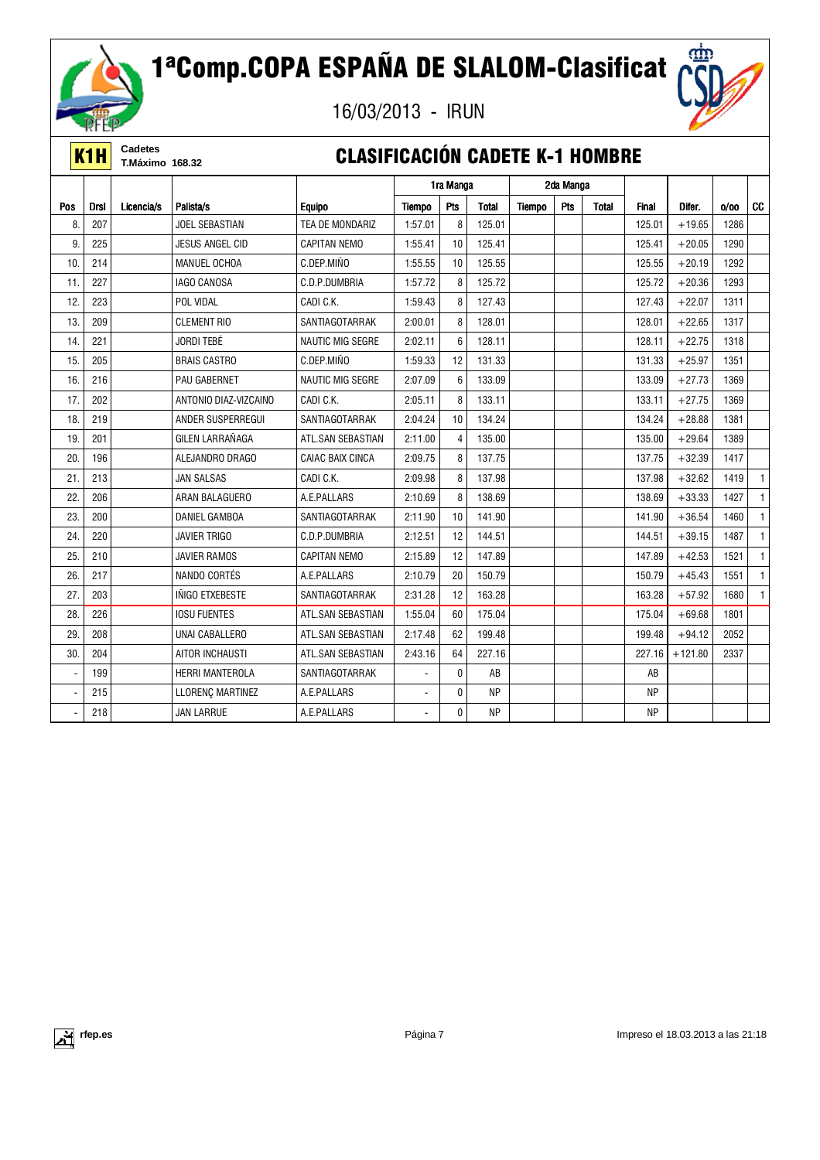

# 1ªComp.COPA ESPAÑA DE SLALOM-Clasificat

16/03/2013 - IRUN



**K1H** Cadetes<br>**K1H** T.Máximo 168.32

### **CLASIFICACIÓN CADETE K-1 HOMBRE**

|                |             |            |                        |                         | 1ra Manga                |                | 2da Manga    |               |     |              |              |           |      |              |
|----------------|-------------|------------|------------------------|-------------------------|--------------------------|----------------|--------------|---------------|-----|--------------|--------------|-----------|------|--------------|
| Pos            | <b>Drsl</b> | Licencia/s | Palista/s              | <b>Equipo</b>           | <b>Tiempo</b>            | Pts            | <b>Total</b> | <b>Tiempo</b> | Pts | <b>Total</b> | <b>Final</b> | Difer.    | 0/00 | <b>CC</b>    |
| 8.             | 207         |            | <b>JOEL SEBASTIAN</b>  | TEA DE MONDARIZ         | 1:57.01                  | 8              | 125.01       |               |     |              | 125.01       | $+19.65$  | 1286 |              |
| 9.             | 225         |            | <b>JESUS ANGEL CID</b> | <b>CAPITAN NEMO</b>     | 1.55.41                  | 10             | 125.41       |               |     |              | 125.41       | $+20.05$  | 1290 |              |
| 10.            | 214         |            | MANUEL OCHOA           | C.DEP.MIÑO              | 1:55.55                  | 10             | 125.55       |               |     |              | 125.55       | $+20.19$  | 1292 |              |
| 11.            | 227         |            | <b>IAGO CANOSA</b>     | C.D.P.DUMBRIA           | 1:57.72                  | 8              | 125.72       |               |     |              | 125.72       | $+20.36$  | 1293 |              |
| 12.            | 223         |            | POL VIDAL              | CADI C.K.               | 1:59.43                  | 8              | 127.43       |               |     |              | 127.43       | $+22.07$  | 1311 |              |
| 13.            | 209         |            | <b>CLEMENT RIO</b>     | SANTIAGOTARRAK          | 2:00.01                  | 8              | 128.01       |               |     |              | 128.01       | $+22.65$  | 1317 |              |
| 14.            | 221         |            | <b>JORDI TEBÉ</b>      | <b>NAUTIC MIG SEGRE</b> | 2:02.11                  | 6              | 128.11       |               |     |              | 128.11       | $+22.75$  | 1318 |              |
| 15.            | 205         |            | <b>BRAIS CASTRO</b>    | C.DEP.MIÑO              | 1:59.33                  | 12             | 131.33       |               |     |              | 131.33       | $+25.97$  | 1351 |              |
| 16.            | 216         |            | PAU GABERNET           | <b>NAUTIC MIG SEGRE</b> | 2:07.09                  | 6              | 133.09       |               |     |              | 133.09       | $+27.73$  | 1369 |              |
| 17.            | 202         |            | ANTONIO DIAZ-VIZCAINO  | CADI C.K.               | 2:05.11                  | 8              | 133.11       |               |     |              | 133.11       | $+27.75$  | 1369 |              |
| 18.            | 219         |            | ANDER SUSPERREGUI      | SANTIAGOTARRAK          | 2:04.24                  | 10             | 134.24       |               |     |              | 134.24       | $+28.88$  | 1381 |              |
| 19.            | 201         |            | GILEN LARRAÑAGA        | ATL.SAN SEBASTIAN       | 2:11.00                  | $\overline{4}$ | 135.00       |               |     |              | 135.00       | $+29.64$  | 1389 |              |
| 20.            | 196         |            | ALEJANDRO DRAGO        | <b>CAIAC BAIX CINCA</b> | 2:09.75                  | 8              | 137.75       |               |     |              | 137.75       | $+32.39$  | 1417 |              |
| 21.            | 213         |            | <b>JAN SALSAS</b>      | CADI C.K.               | 2:09.98                  | 8              | 137.98       |               |     |              | 137.98       | $+32.62$  | 1419 |              |
| 22.            | 206         |            | ARAN BALAGUERO         | A.E.PALLARS             | 2:10.69                  | 8              | 138.69       |               |     |              | 138.69       | $+33.33$  | 1427 |              |
| 23.            | 200         |            | <b>DANIEL GAMBOA</b>   | SANTIAGOTARRAK          | 2:11.90                  | 10             | 141.90       |               |     |              | 141.90       | $+36.54$  | 1460 | $\mathbf{1}$ |
| 24.            | 220         |            | <b>JAVIER TRIGO</b>    | C.D.P.DUMBRIA           | 2:12.51                  | 12             | 144.51       |               |     |              | 144.51       | $+39.15$  | 1487 |              |
| 25.            | 210         |            | <b>JAVIER RAMOS</b>    | <b>CAPITAN NEMO</b>     | 2:15.89                  | 12             | 147.89       |               |     |              | 147.89       | $+42.53$  | 1521 | $\mathbf{1}$ |
| 26.            | 217         |            | NANDO CORTÉS           | A.E.PALLARS             | 2:10.79                  | 20             | 150.79       |               |     |              | 150.79       | $+45.43$  | 1551 | $\mathbf{1}$ |
| 27.            | 203         |            | INIGO ETXEBESTE        | SANTIAGOTARRAK          | 2:31.28                  | 12             | 163.28       |               |     |              | 163.28       | $+57.92$  | 1680 | 1            |
| 28.            | 226         |            | <b>IOSU FUENTES</b>    | ATL.SAN SEBASTIAN       | 1:55.04                  | 60             | 175.04       |               |     |              | 175.04       | $+69.68$  | 1801 |              |
| 29.            | 208         |            | UNAI CABALLERO         | ATL.SAN SEBASTIAN       | 2:17.48                  | 62             | 199.48       |               |     |              | 199.48       | $+94.12$  | 2052 |              |
| 30.            | 204         |            | AITOR INCHAUSTI        | ATL.SAN SEBASTIAN       | 2:43.16                  | 64             | 227.16       |               |     |              | 227.16       | $+121.80$ | 2337 |              |
| ä,             | 199         |            | <b>HERRI MANTEROLA</b> | SANTIAGOTARRAK          | $\overline{\phantom{0}}$ | $\mathbf{0}$   | AB           |               |     |              | AB           |           |      |              |
| $\overline{a}$ | 215         |            | LLORENÇ MARTINEZ       | A.E.PALLARS             | $\overline{\phantom{0}}$ | $\mathbf{0}$   | <b>NP</b>    |               |     |              | <b>NP</b>    |           |      |              |
|                | 218         |            | <b>JAN LARRUE</b>      | A.E.PALLARS             |                          | $\mathbf{0}$   | <b>NP</b>    |               |     |              | <b>NP</b>    |           |      |              |